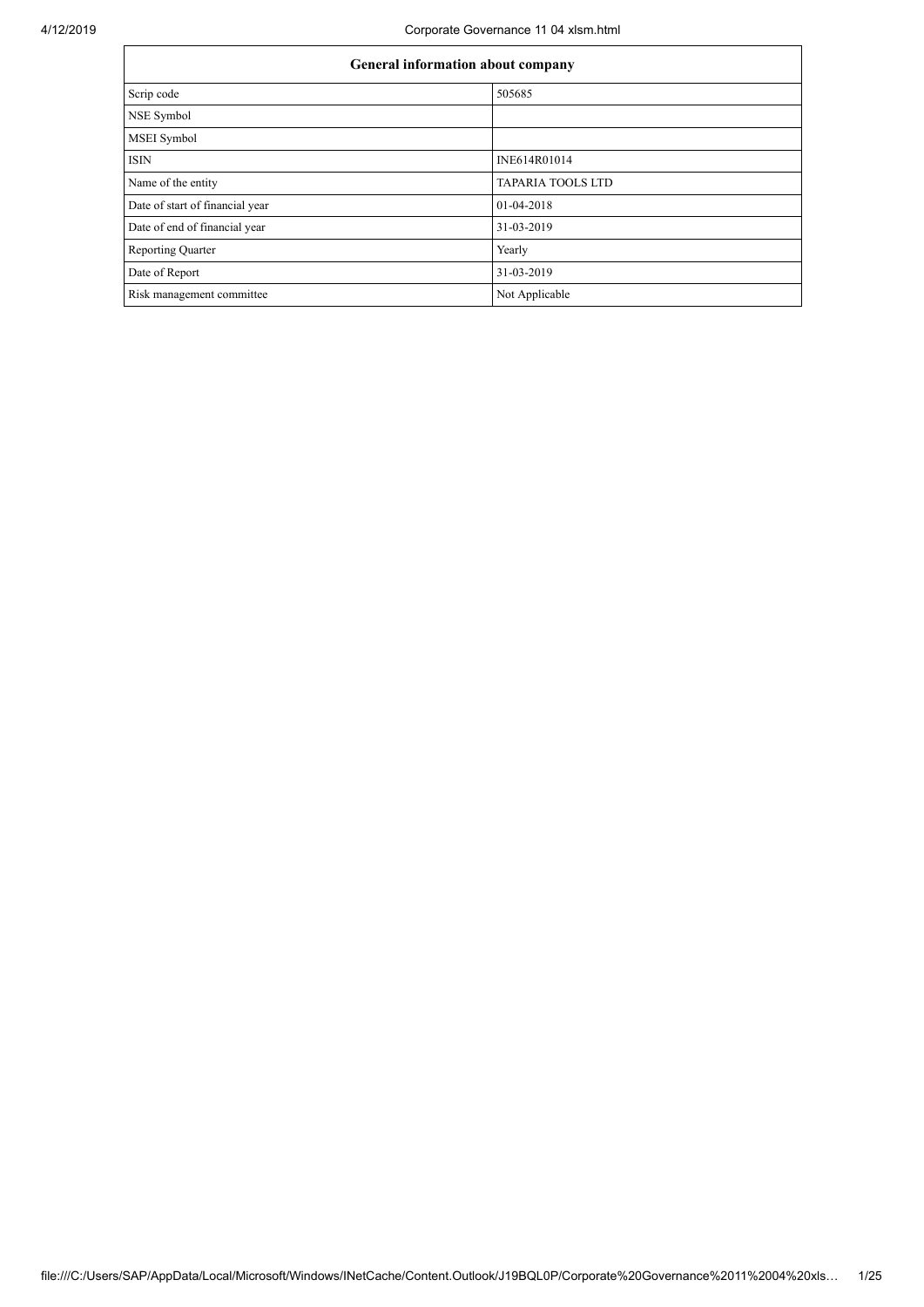| <b>General information about company</b> |                          |  |  |  |  |  |
|------------------------------------------|--------------------------|--|--|--|--|--|
| Scrip code                               | 505685                   |  |  |  |  |  |
| NSE Symbol                               |                          |  |  |  |  |  |
| MSEI Symbol                              |                          |  |  |  |  |  |
| <b>ISIN</b>                              | INE614R01014             |  |  |  |  |  |
| Name of the entity                       | <b>TAPARIA TOOLS LTD</b> |  |  |  |  |  |
| Date of start of financial year          | 01-04-2018               |  |  |  |  |  |
| Date of end of financial year            | 31-03-2019               |  |  |  |  |  |
| <b>Reporting Quarter</b>                 | Yearly                   |  |  |  |  |  |
| Date of Report                           | 31-03-2019               |  |  |  |  |  |
| Risk management committee                | Not Applicable           |  |  |  |  |  |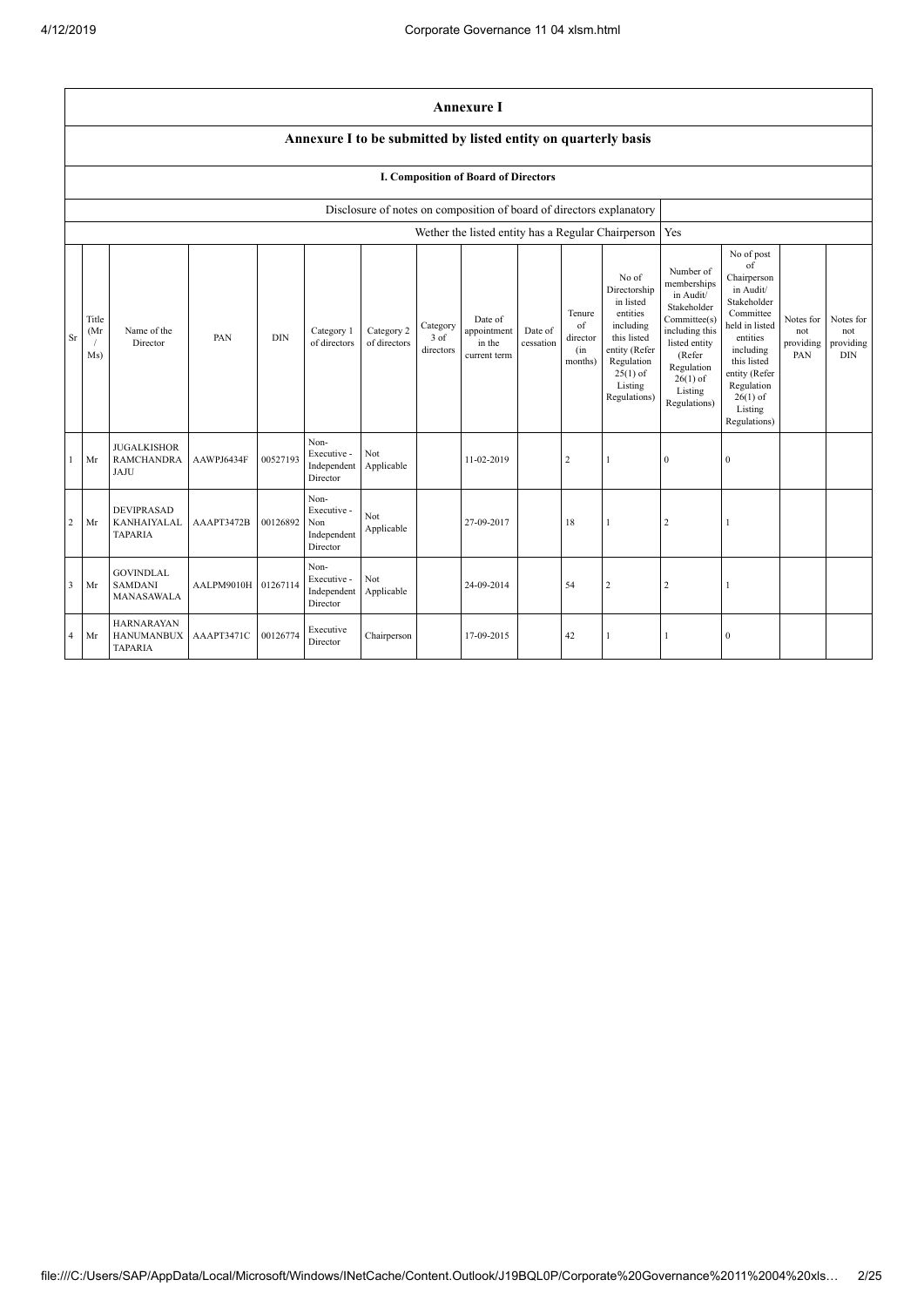|                         | <b>Annexure I</b>                                                                                                                                                                                                                                                                                                                                                                                                                                   |                                                           |                     |          |                                                       |                   |  |                                                                                                                                                                          |                                                                                                                                                                                                            |                                      |                                                    |              |                  |  |  |
|-------------------------|-----------------------------------------------------------------------------------------------------------------------------------------------------------------------------------------------------------------------------------------------------------------------------------------------------------------------------------------------------------------------------------------------------------------------------------------------------|-----------------------------------------------------------|---------------------|----------|-------------------------------------------------------|-------------------|--|--------------------------------------------------------------------------------------------------------------------------------------------------------------------------|------------------------------------------------------------------------------------------------------------------------------------------------------------------------------------------------------------|--------------------------------------|----------------------------------------------------|--------------|------------------|--|--|
|                         | Annexure I to be submitted by listed entity on quarterly basis                                                                                                                                                                                                                                                                                                                                                                                      |                                                           |                     |          |                                                       |                   |  |                                                                                                                                                                          |                                                                                                                                                                                                            |                                      |                                                    |              |                  |  |  |
|                         | I. Composition of Board of Directors                                                                                                                                                                                                                                                                                                                                                                                                                |                                                           |                     |          |                                                       |                   |  |                                                                                                                                                                          |                                                                                                                                                                                                            |                                      |                                                    |              |                  |  |  |
|                         |                                                                                                                                                                                                                                                                                                                                                                                                                                                     |                                                           |                     |          |                                                       |                   |  | Disclosure of notes on composition of board of directors explanatory                                                                                                     |                                                                                                                                                                                                            |                                      |                                                    |              |                  |  |  |
|                         |                                                                                                                                                                                                                                                                                                                                                                                                                                                     |                                                           |                     |          |                                                       |                   |  |                                                                                                                                                                          |                                                                                                                                                                                                            |                                      | Wether the listed entity has a Regular Chairperson | Yes          |                  |  |  |
| Sr                      | No of<br>Directorship<br>in listed<br>entities<br>Tenure<br>Date of<br>Title<br>of<br>including<br>Category<br>Name of the<br>Category 2<br>appointment<br>Date of<br>(Mr)<br>Category 1<br><b>DIN</b><br>$3$ of<br>this listed<br>PAN<br>director<br>of directors<br>in the<br>cessation<br>Director<br>of directors<br>directors<br>entity (Refer<br>(in<br>Ms)<br>current term<br>Regulation<br>months)<br>$25(1)$ of<br>Listing<br>Regulations) |                                                           |                     |          |                                                       |                   |  | Number of<br>memberships<br>in Audit/<br>Stakeholder<br>Committee(s)<br>including this<br>listed entity<br>(Refer<br>Regulation<br>$26(1)$ of<br>Listing<br>Regulations) | No of post<br>of<br>Chairperson<br>in Audit/<br>Stakeholder<br>Committee<br>held in listed<br>entities<br>including<br>this listed<br>entity (Refer<br>Regulation<br>$26(1)$ of<br>Listing<br>Regulations) | Notes for<br>not<br>providing<br>PAN | Notes for<br>not<br>providing<br><b>DIN</b>        |              |                  |  |  |
| -1                      | Mr                                                                                                                                                                                                                                                                                                                                                                                                                                                  | <b>JUGALKISHOR</b><br><b>RAMCHANDRA</b><br>JAJU           | AAWPJ6434F          | 00527193 | Non-<br>Executive -<br>Independent<br>Director        | Not<br>Applicable |  | 11-02-2019                                                                                                                                                               |                                                                                                                                                                                                            | $\sqrt{2}$                           |                                                    | $\mathbf{0}$ | $\boldsymbol{0}$ |  |  |
| $\overline{2}$          | Mr                                                                                                                                                                                                                                                                                                                                                                                                                                                  | <b>DEVIPRASAD</b><br><b>KANHAIYALAL</b><br><b>TAPARIA</b> | AAAPT3472B          | 00126892 | Non-<br>Executive -<br>Non<br>Independent<br>Director | Not<br>Applicable |  | 27-09-2017                                                                                                                                                               |                                                                                                                                                                                                            | 18                                   |                                                    | $\sqrt{2}$   |                  |  |  |
| $\overline{\mathbf{3}}$ | Mr                                                                                                                                                                                                                                                                                                                                                                                                                                                  | <b>GOVINDLAL</b><br><b>SAMDANI</b><br>MANASAWALA          | AALPM9010H 01267114 |          | Non-<br>Executive -<br>Independent<br>Director        | Not<br>Applicable |  | 24-09-2014                                                                                                                                                               |                                                                                                                                                                                                            | 54                                   | $\overline{c}$                                     | $\sqrt{2}$   | 1                |  |  |
| $\overline{4}$          | Mr                                                                                                                                                                                                                                                                                                                                                                                                                                                  | <b>HARNARAYAN</b><br><b>HANUMANBUX</b><br><b>TAPARIA</b>  | AAAPT3471C          | 00126774 | Executive<br>Director                                 | Chairperson       |  | 17-09-2015                                                                                                                                                               |                                                                                                                                                                                                            | 42                                   |                                                    |              | $\boldsymbol{0}$ |  |  |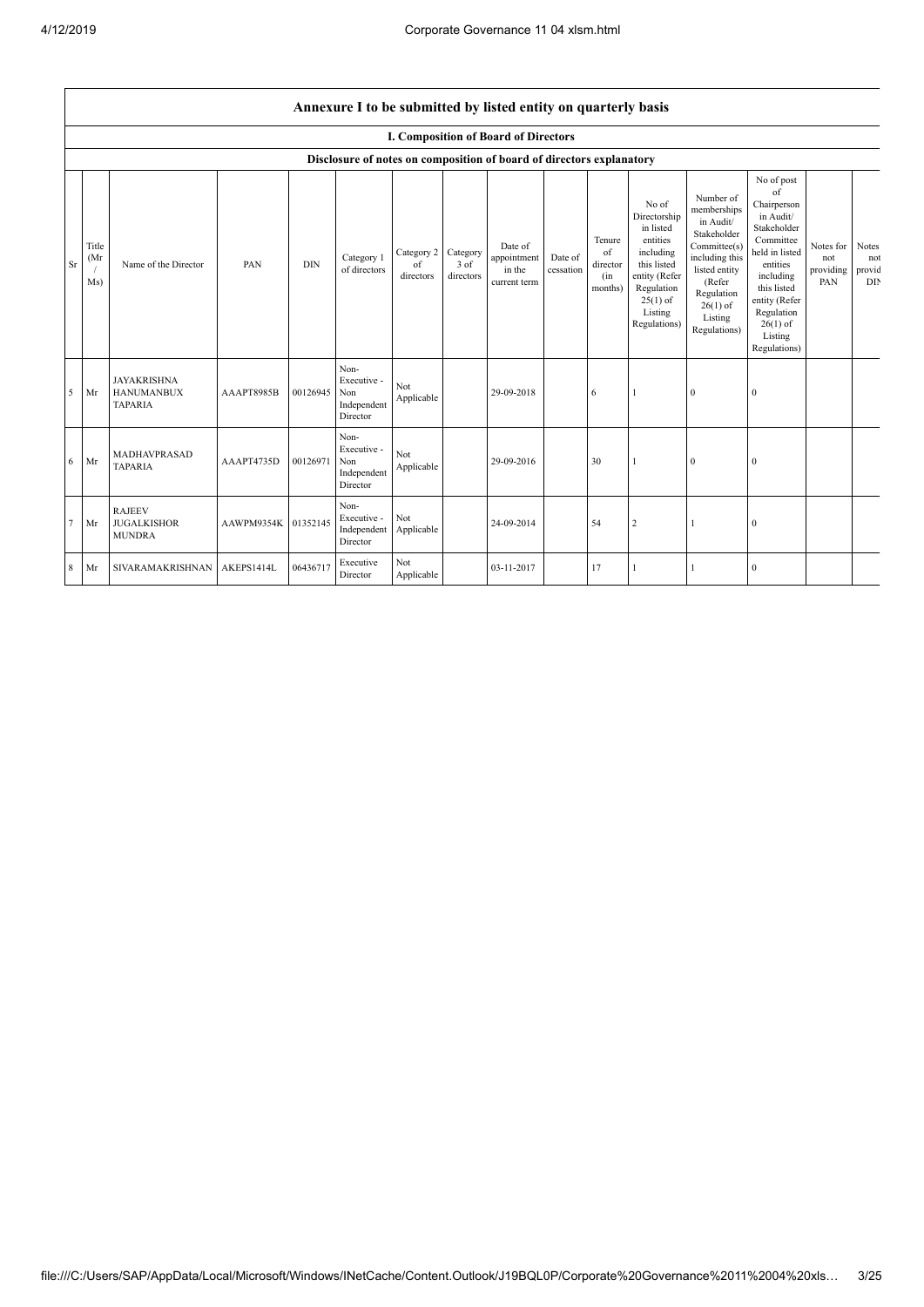|                                                                                                                                                                                                                                                                                                                                                                                                                                                                                                                                                                                                                                                                                                                                                                                                                                                                                                   | Annexure I to be submitted by listed entity on quarterly basis       |                                                           |                     |          |                                                       |                   |  |                                      |                               |    |   |              |                  |  |  |
|---------------------------------------------------------------------------------------------------------------------------------------------------------------------------------------------------------------------------------------------------------------------------------------------------------------------------------------------------------------------------------------------------------------------------------------------------------------------------------------------------------------------------------------------------------------------------------------------------------------------------------------------------------------------------------------------------------------------------------------------------------------------------------------------------------------------------------------------------------------------------------------------------|----------------------------------------------------------------------|-----------------------------------------------------------|---------------------|----------|-------------------------------------------------------|-------------------|--|--------------------------------------|-------------------------------|----|---|--------------|------------------|--|--|
|                                                                                                                                                                                                                                                                                                                                                                                                                                                                                                                                                                                                                                                                                                                                                                                                                                                                                                   |                                                                      |                                                           |                     |          |                                                       |                   |  | I. Composition of Board of Directors |                               |    |   |              |                  |  |  |
|                                                                                                                                                                                                                                                                                                                                                                                                                                                                                                                                                                                                                                                                                                                                                                                                                                                                                                   | Disclosure of notes on composition of board of directors explanatory |                                                           |                     |          |                                                       |                   |  |                                      |                               |    |   |              |                  |  |  |
| No of post<br>of<br>Number of<br>No of<br>Chairperson<br>memberships<br>Directorship<br>in Audit/<br>in Audit/<br>in listed<br>Stakeholder<br>Stakeholder<br>entities<br>Committee<br>Tenure<br>Title<br>Committee(s)<br>Notes for<br>Date of<br>including<br>$\alpha$ f<br>held in listed<br>Category 2<br>Category<br>including this<br>(Mr)<br>Category 1<br>appointment<br>Date of<br>not<br>this listed<br>PAN<br><b>DIN</b><br>3 of<br>Sr<br>Name of the Director<br>entities<br>of<br>director<br>of directors<br>in the<br>cessation<br>listed entity<br>providing<br>entity (Refer<br>directors<br>directors<br>including<br>(in<br>(Refer<br>PAN<br>Ms)<br>current term<br>this listed<br>Regulation<br>months)<br>Regulation<br>$25(1)$ of<br>entity (Refer<br>$26(1)$ of<br>Listing<br>Regulation<br>Listing<br>Regulations)<br>$26(1)$ of<br>Regulations)<br>Listing<br>Regulations) |                                                                      |                                                           |                     |          |                                                       |                   |  |                                      | Notes<br>not<br>provid<br>DIN |    |   |              |                  |  |  |
| 5                                                                                                                                                                                                                                                                                                                                                                                                                                                                                                                                                                                                                                                                                                                                                                                                                                                                                                 | Mr                                                                   | <b>JAYAKRISHNA</b><br><b>HANUMANBUX</b><br><b>TAPARIA</b> | AAAPT8985B          | 00126945 | Non-<br>Executive -<br>Non<br>Independent<br>Director | Not<br>Applicable |  | 29-09-2018                           |                               | 6  |   | $\mathbf{0}$ | $\boldsymbol{0}$ |  |  |
| 6                                                                                                                                                                                                                                                                                                                                                                                                                                                                                                                                                                                                                                                                                                                                                                                                                                                                                                 | Mr                                                                   | <b>MADHAVPRASAD</b><br><b>TAPARIA</b>                     | AAAPT4735D          | 00126971 | Non-<br>Executive -<br>Non<br>Independent<br>Director | Not<br>Applicable |  | 29-09-2016                           |                               | 30 |   | $\mathbf{0}$ | $\mathbf{0}$     |  |  |
| 7                                                                                                                                                                                                                                                                                                                                                                                                                                                                                                                                                                                                                                                                                                                                                                                                                                                                                                 | Mr                                                                   | <b>RAJEEV</b><br><b>JUGALKISHOR</b><br><b>MUNDRA</b>      | AAWPM9354K 01352145 |          | Non-<br>Executive -<br>Independent<br>Director        | Not<br>Applicable |  | 24-09-2014                           |                               | 54 | 2 | -1           | $\mathbf{0}$     |  |  |
| 8                                                                                                                                                                                                                                                                                                                                                                                                                                                                                                                                                                                                                                                                                                                                                                                                                                                                                                 | Mr                                                                   | SIVARAMAKRISHNAN                                          | AKEPS1414L          | 06436717 | Executive<br>Director                                 | Not<br>Applicable |  | 03-11-2017                           |                               | 17 |   |              | $\mathbf{0}$     |  |  |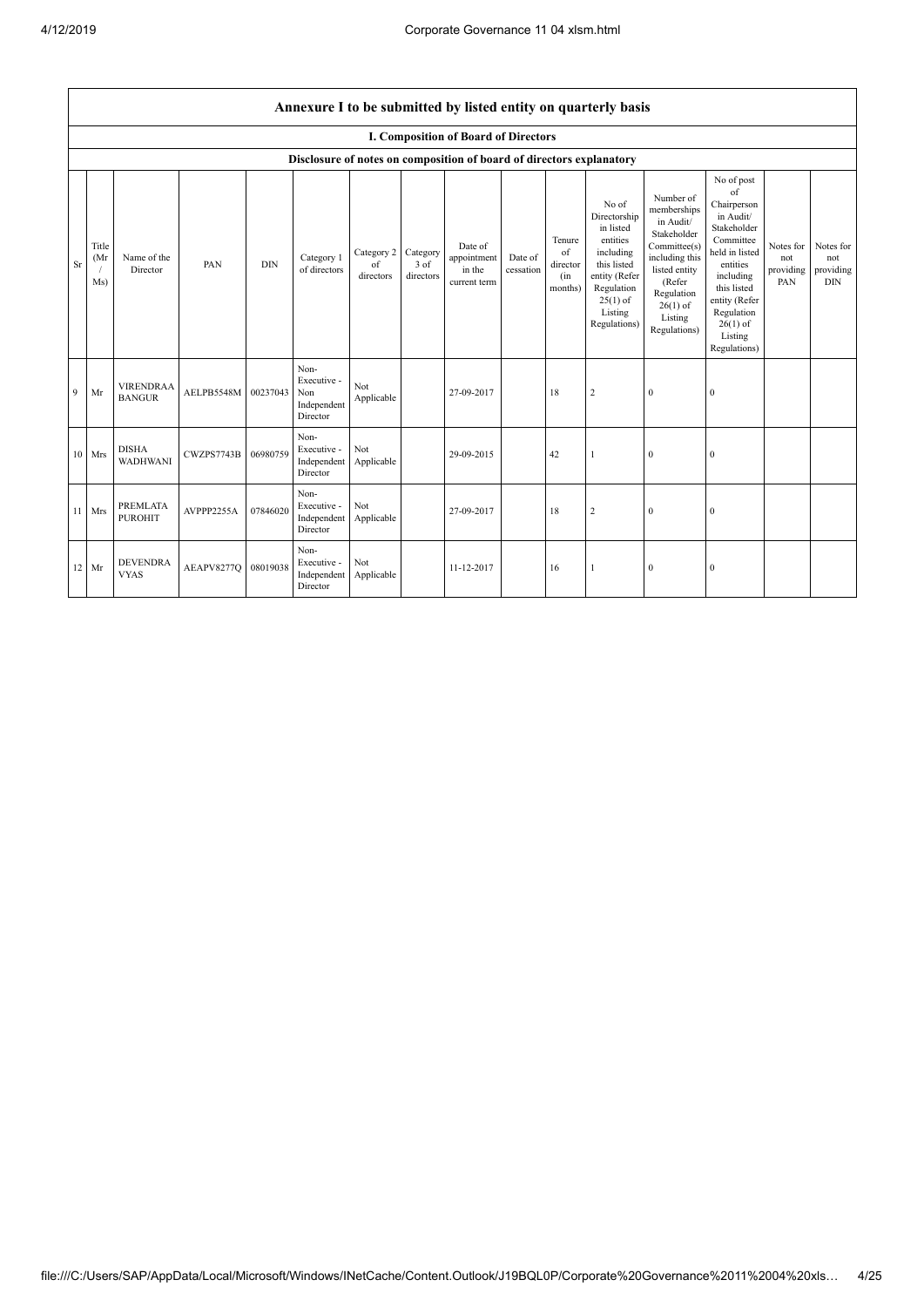|    | Annexure I to be submitted by listed entity on quarterly basis       |                                   |                     |            |                                                       |                               |                               |                                                  |                      |                                            |                                                                                                                                                    |                                                                                                                                                                          |                                                                                                                                                                                                            |                                      |                                             |
|----|----------------------------------------------------------------------|-----------------------------------|---------------------|------------|-------------------------------------------------------|-------------------------------|-------------------------------|--------------------------------------------------|----------------------|--------------------------------------------|----------------------------------------------------------------------------------------------------------------------------------------------------|--------------------------------------------------------------------------------------------------------------------------------------------------------------------------|------------------------------------------------------------------------------------------------------------------------------------------------------------------------------------------------------------|--------------------------------------|---------------------------------------------|
|    | I. Composition of Board of Directors                                 |                                   |                     |            |                                                       |                               |                               |                                                  |                      |                                            |                                                                                                                                                    |                                                                                                                                                                          |                                                                                                                                                                                                            |                                      |                                             |
|    | Disclosure of notes on composition of board of directors explanatory |                                   |                     |            |                                                       |                               |                               |                                                  |                      |                                            |                                                                                                                                                    |                                                                                                                                                                          |                                                                                                                                                                                                            |                                      |                                             |
| Sr | Title<br>(Mr)<br>Ms)                                                 | Name of the<br>Director           | PAN                 | <b>DIN</b> | Category 1<br>of directors                            | Category 2<br>of<br>directors | Category<br>3 of<br>directors | Date of<br>appointment<br>in the<br>current term | Date of<br>cessation | Tenure<br>of<br>director<br>(in<br>months) | No of<br>Directorship<br>in listed<br>entities<br>including<br>this listed<br>entity (Refer<br>Regulation<br>$25(1)$ of<br>Listing<br>Regulations) | Number of<br>memberships<br>in Audit/<br>Stakeholder<br>Committee(s)<br>including this<br>listed entity<br>(Refer<br>Regulation<br>$26(1)$ of<br>Listing<br>Regulations) | No of post<br>of<br>Chairperson<br>in Audit/<br>Stakeholder<br>Committee<br>held in listed<br>entities<br>including<br>this listed<br>entity (Refer<br>Regulation<br>$26(1)$ of<br>Listing<br>Regulations) | Notes for<br>not<br>providing<br>PAN | Notes for<br>not<br>providing<br><b>DIN</b> |
| 9  | Mr                                                                   | <b>VIRENDRAA</b><br><b>BANGUR</b> | AELPB5548M 00237043 |            | Non-<br>Executive -<br>Non<br>Independent<br>Director | Not<br>Applicable             |                               | 27-09-2017                                       |                      | 18                                         | $\overline{2}$                                                                                                                                     | $\mathbf{0}$                                                                                                                                                             | $\boldsymbol{0}$                                                                                                                                                                                           |                                      |                                             |
|    | $10$ Mrs                                                             | <b>DISHA</b><br><b>WADHWANI</b>   | CWZPS7743B          | 06980759   | Non-<br>Executive -<br>Independent<br>Director        | Not<br>Applicable             |                               | 29-09-2015                                       |                      | 42                                         | 1                                                                                                                                                  | $\Omega$                                                                                                                                                                 | $\mathbf{0}$                                                                                                                                                                                               |                                      |                                             |
|    | $11$ Mrs                                                             | PREMLATA<br><b>PUROHIT</b>        | AVPPP2255A          | 07846020   | Non-<br>Executive -<br>Independent<br>Director        | Not<br>Applicable             |                               | 27-09-2017                                       |                      | 18                                         | $\overline{2}$                                                                                                                                     | $\Omega$                                                                                                                                                                 | $\mathbf{0}$                                                                                                                                                                                               |                                      |                                             |
|    | 12 Mr                                                                | <b>DEVENDRA</b><br><b>VYAS</b>    | AEAPV8277Q          | 08019038   | Non-<br>Executive -<br>Independent<br>Director        | Not<br>Applicable             |                               | 11-12-2017                                       |                      | 16                                         | $\mathbf{1}$                                                                                                                                       | $\mathbf{0}$                                                                                                                                                             | $\boldsymbol{0}$                                                                                                                                                                                           |                                      |                                             |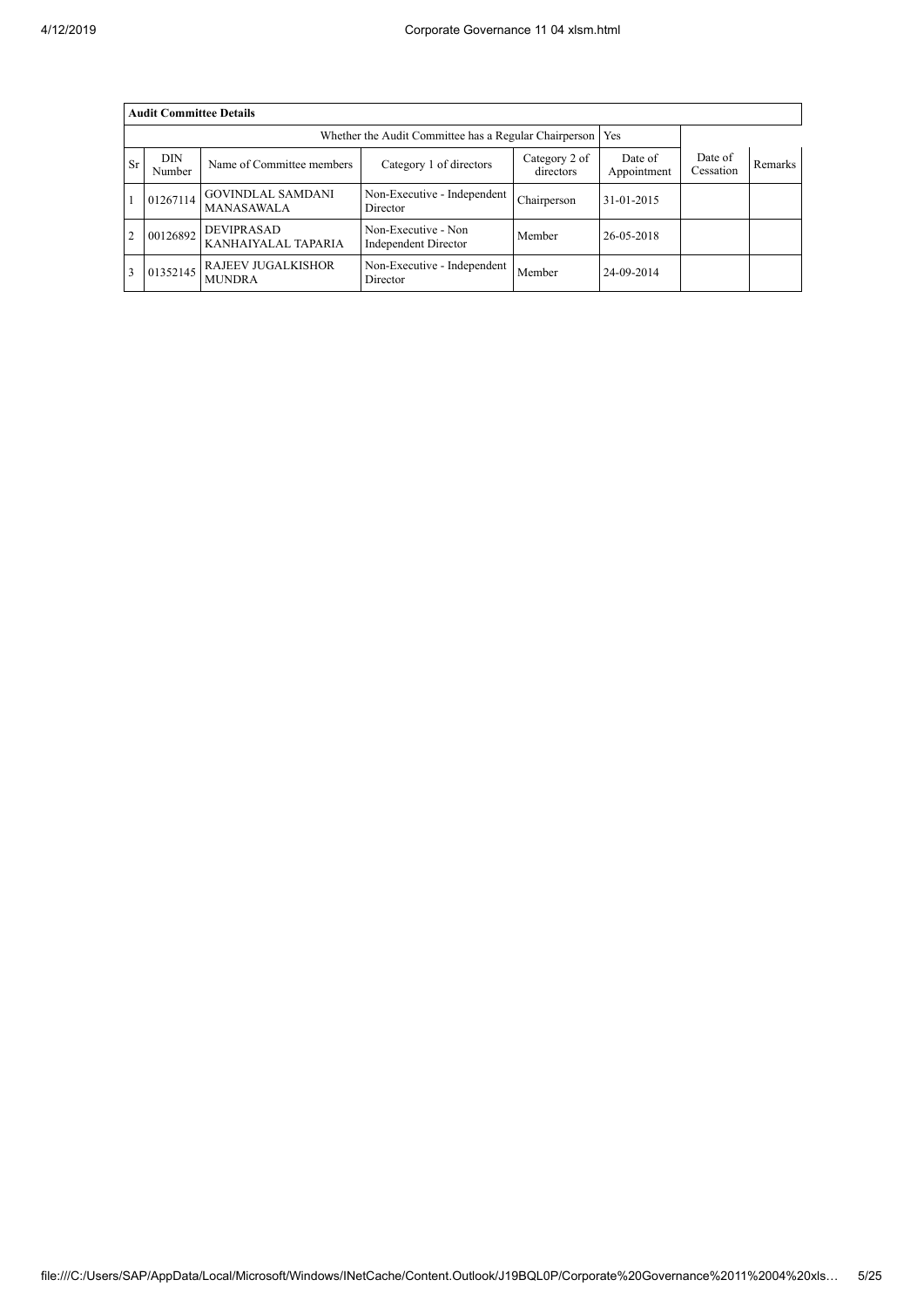|                | <b>Audit Committee Details</b> |                                            |                                             |                |            |  |  |  |  |  |
|----------------|--------------------------------|--------------------------------------------|---------------------------------------------|----------------|------------|--|--|--|--|--|
|                |                                |                                            |                                             |                |            |  |  |  |  |  |
| <b>Sr</b>      | <b>DIN</b><br>Number           | Date of<br>Appointment                     | Date of<br>Cessation                        | <b>Remarks</b> |            |  |  |  |  |  |
|                | 01267114                       | <b>GOVINDLAL SAMDANI</b><br>MANASAWALA     | Non-Executive - Independent<br>Director     | Chairperson    | 31-01-2015 |  |  |  |  |  |
| $\overline{2}$ | 00126892                       | <b>DEVIPRASAD</b><br>KANHAIYALAL TAPARIA   | Non-Executive - Non<br>Independent Director | Member         | 26-05-2018 |  |  |  |  |  |
| 3              | 01352145                       | <b>RAJEEV JUGALKISHOR</b><br><b>MUNDRA</b> | Non-Executive - Independent<br>Director     | Member         | 24-09-2014 |  |  |  |  |  |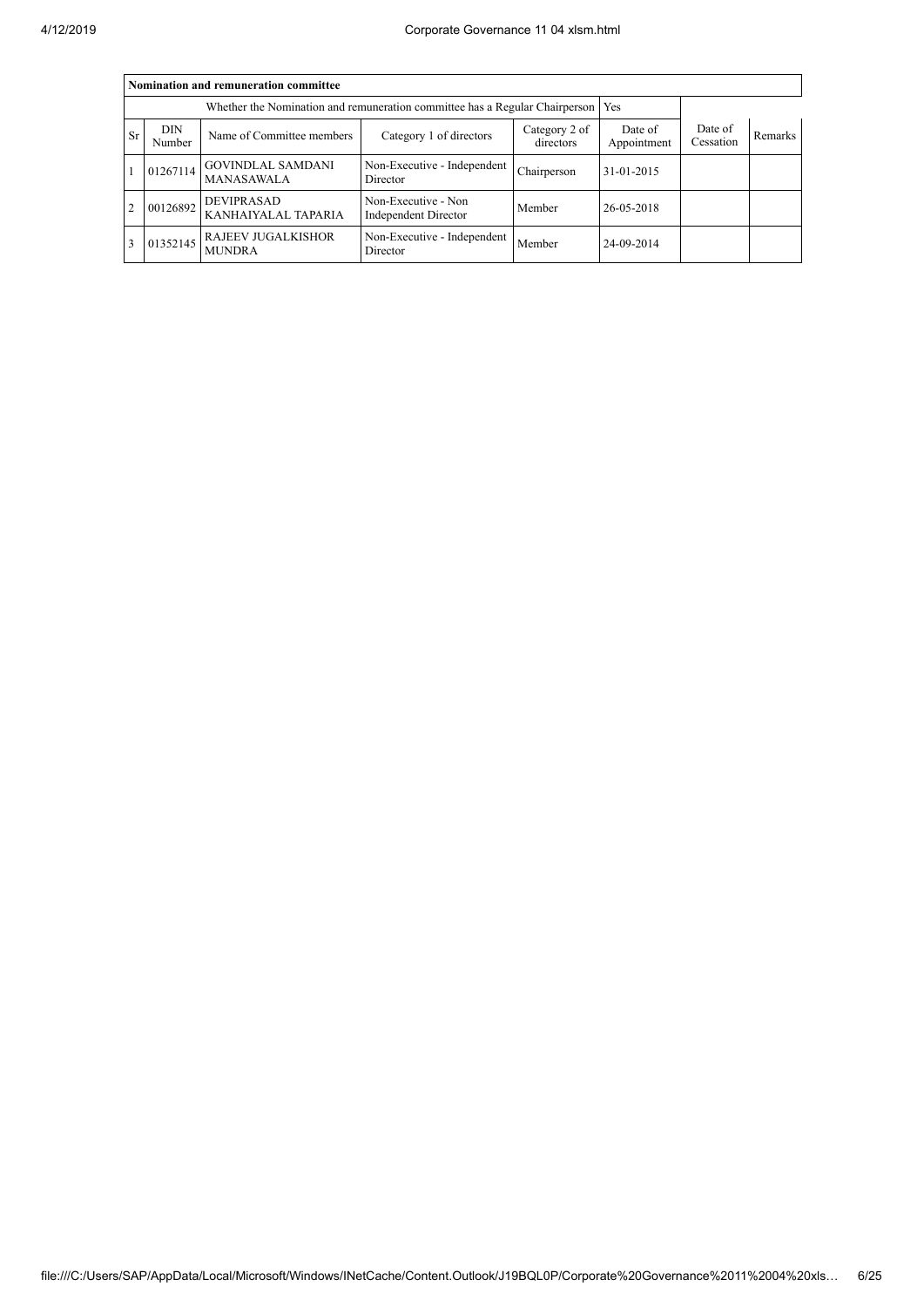|           | Nomination and remuneration committee |                                            |                                                    |                      |                |  |  |  |  |  |
|-----------|---------------------------------------|--------------------------------------------|----------------------------------------------------|----------------------|----------------|--|--|--|--|--|
|           |                                       |                                            |                                                    |                      |                |  |  |  |  |  |
| <b>Sr</b> | <b>DIN</b><br>Number                  | Name of Committee members                  | Date of<br>Appointment                             | Date of<br>Cessation | <b>Remarks</b> |  |  |  |  |  |
|           | 01267114                              | <b>GOVINDLAL SAMDANI</b><br>MANASAWALA     | Non-Executive - Independent<br>Director            | Chairperson          | 31-01-2015     |  |  |  |  |  |
| 2         | 00126892                              | <b>DEVIPRASAD</b><br>KANHAIYALAL TAPARIA   | Non-Executive - Non<br><b>Independent Director</b> | Member               | 26-05-2018     |  |  |  |  |  |
|           | 01352145                              | <b>RAJEEV JUGALKISHOR</b><br><b>MUNDRA</b> | Non-Executive - Independent<br>Director            | Member               | 24-09-2014     |  |  |  |  |  |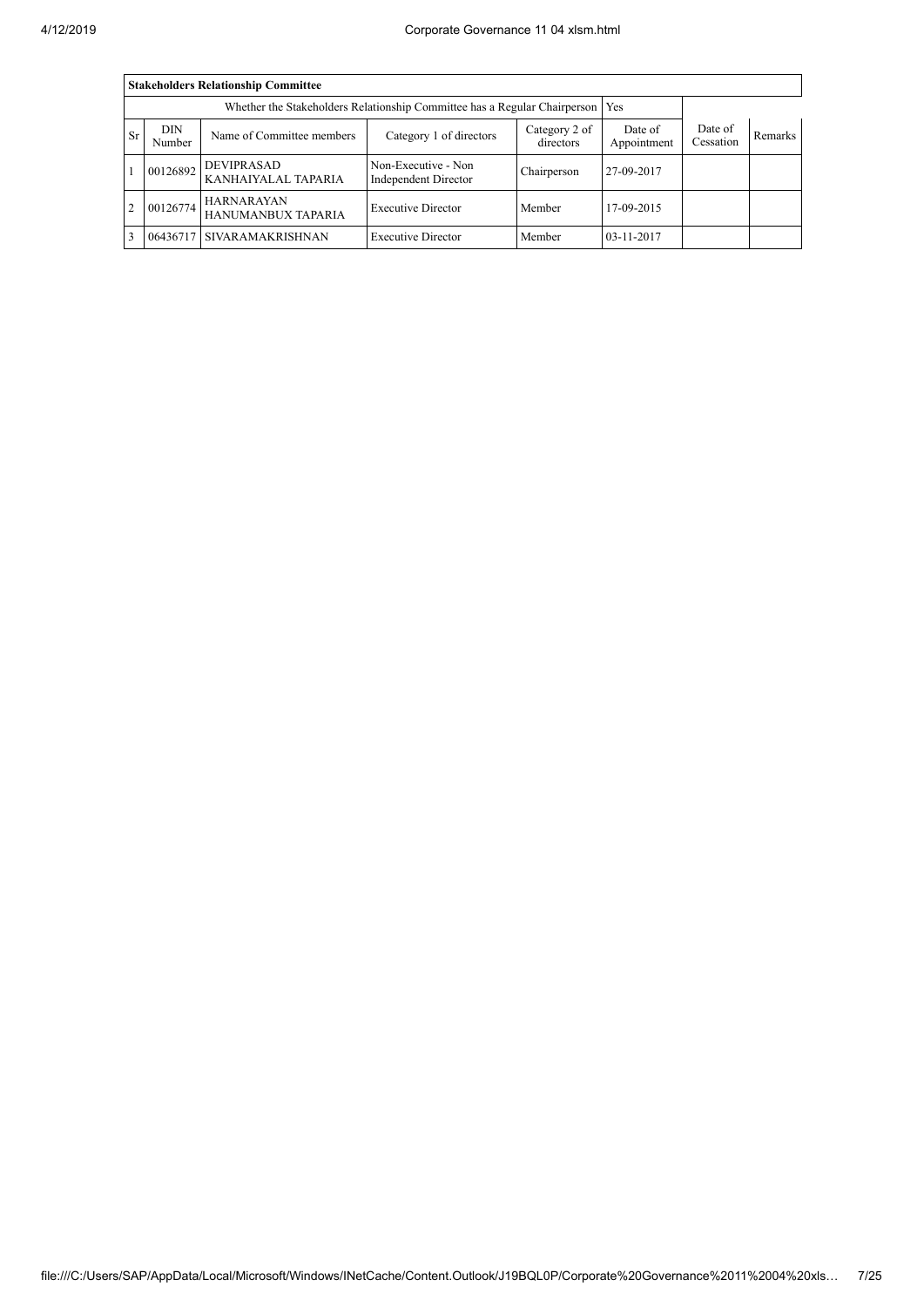|           | <b>Stakeholders Relationship Committee</b> |                                          |                                             |             |            |  |  |  |  |  |  |
|-----------|--------------------------------------------|------------------------------------------|---------------------------------------------|-------------|------------|--|--|--|--|--|--|
|           |                                            |                                          |                                             |             |            |  |  |  |  |  |  |
| <b>Sr</b> | <b>DIN</b><br>Number                       | Date of<br>Cessation                     | <b>Remarks</b>                              |             |            |  |  |  |  |  |  |
|           | 00126892                                   | <b>DEVIPRASAD</b><br>KANHAIYALAL TAPARIA | Non-Executive - Non<br>Independent Director | Chairperson | 27-09-2017 |  |  |  |  |  |  |
| $\cdot$ 2 | 00126774                                   | <b>HARNARAYAN</b><br>HANUMANBUX TAPARIA  | <b>Executive Director</b>                   | Member      | 17-09-2015 |  |  |  |  |  |  |
|           | 06436717                                   | I SIVARAMAKRISHNAN                       | <b>Executive Director</b>                   | Member      | 03-11-2017 |  |  |  |  |  |  |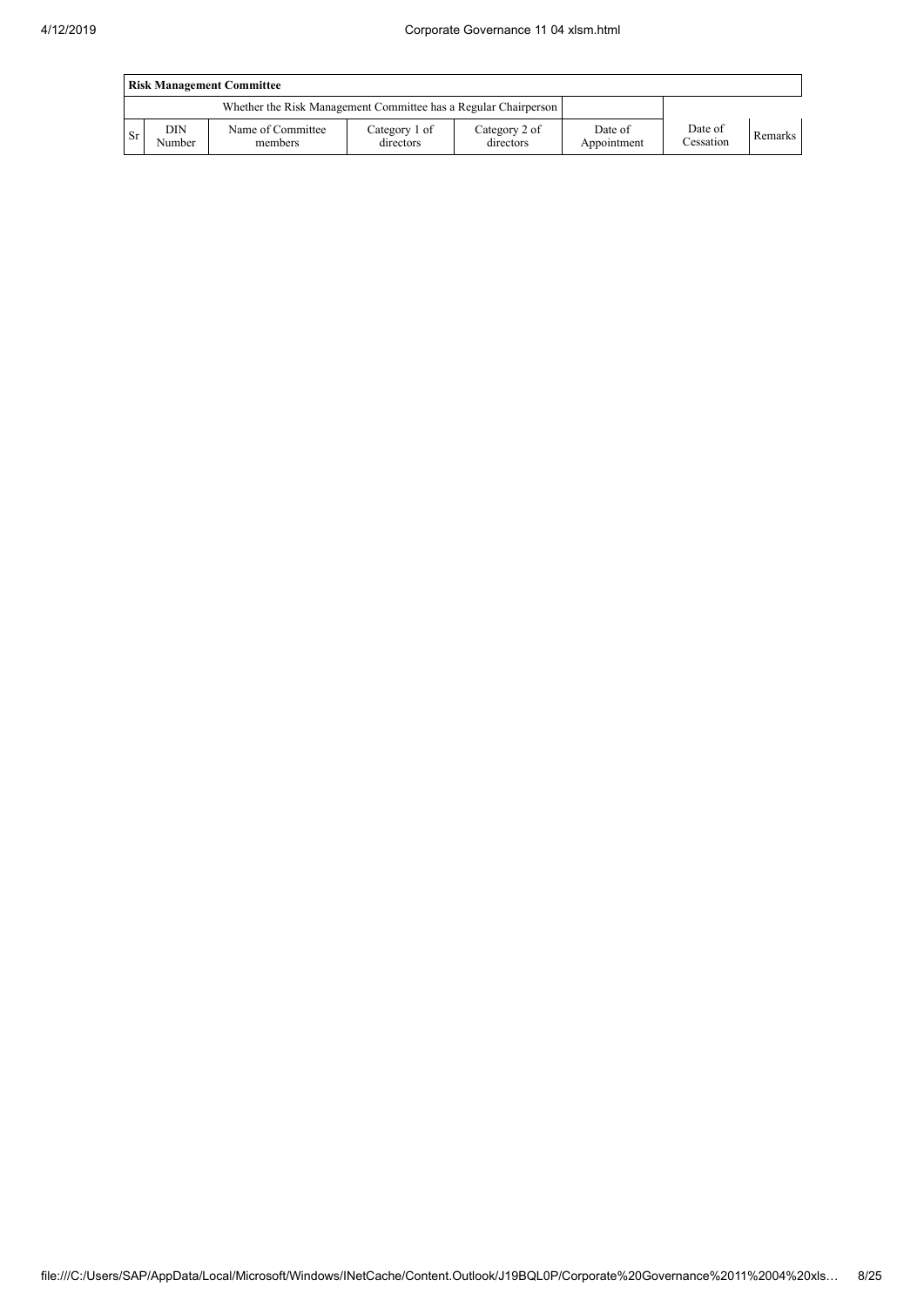|      | <b>Risk Management Committee</b> |                                                                 |                            |                            |                        |                      |         |  |  |
|------|----------------------------------|-----------------------------------------------------------------|----------------------------|----------------------------|------------------------|----------------------|---------|--|--|
|      |                                  | Whether the Risk Management Committee has a Regular Chairperson |                            |                            |                        |                      |         |  |  |
| l Sr | DIN<br>Number                    | Name of Committee<br>members                                    | Category 1 of<br>directors | Category 2 of<br>directors | Date of<br>Appointment | Date of<br>Cessation | Remarks |  |  |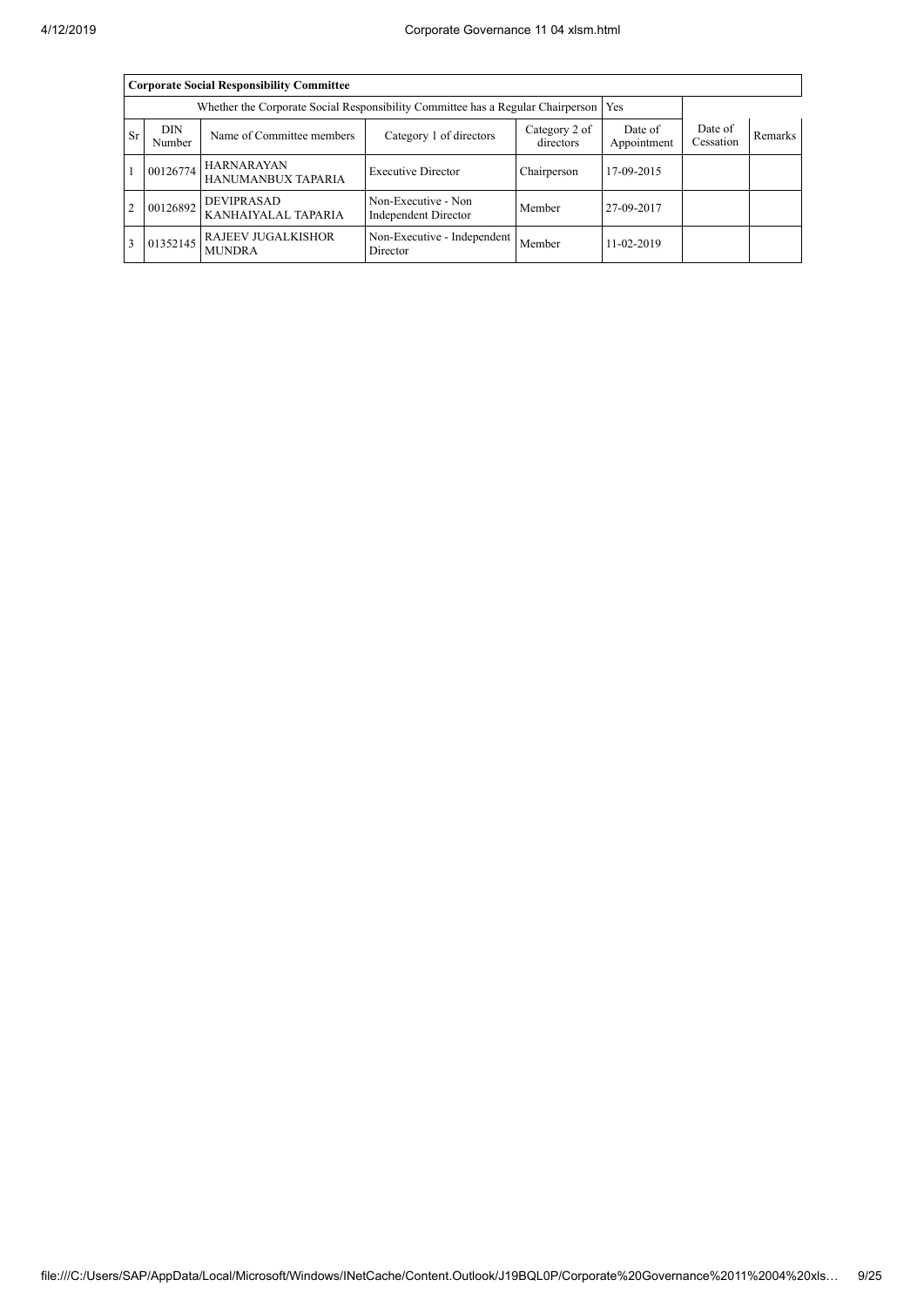|                | <b>Corporate Social Responsibility Committee</b>                                      |                                            |                                             |                |            |  |  |  |  |  |
|----------------|---------------------------------------------------------------------------------------|--------------------------------------------|---------------------------------------------|----------------|------------|--|--|--|--|--|
|                | Whether the Corporate Social Responsibility Committee has a Regular Chairperson   Yes |                                            |                                             |                |            |  |  |  |  |  |
| Sr.            | <b>DIN</b><br>Number                                                                  | Date of<br>Appointment                     | Date of<br>Cessation                        | <b>Remarks</b> |            |  |  |  |  |  |
|                | 00126774                                                                              | <b>HARNARAYAN</b><br>HANUMANBUX TAPARIA    | <b>Executive Director</b>                   | Chairperson    | 17-09-2015 |  |  |  |  |  |
| $\overline{2}$ | 00126892                                                                              | <b>DEVIPRASAD</b><br>KANHAIYALAL TAPARIA   | Non-Executive - Non<br>Independent Director | Member         | 27-09-2017 |  |  |  |  |  |
|                | 01352145                                                                              | <b>RAJEEV JUGALKISHOR</b><br><b>MUNDRA</b> | Non-Executive - Independent<br>Director     | Member         | 11-02-2019 |  |  |  |  |  |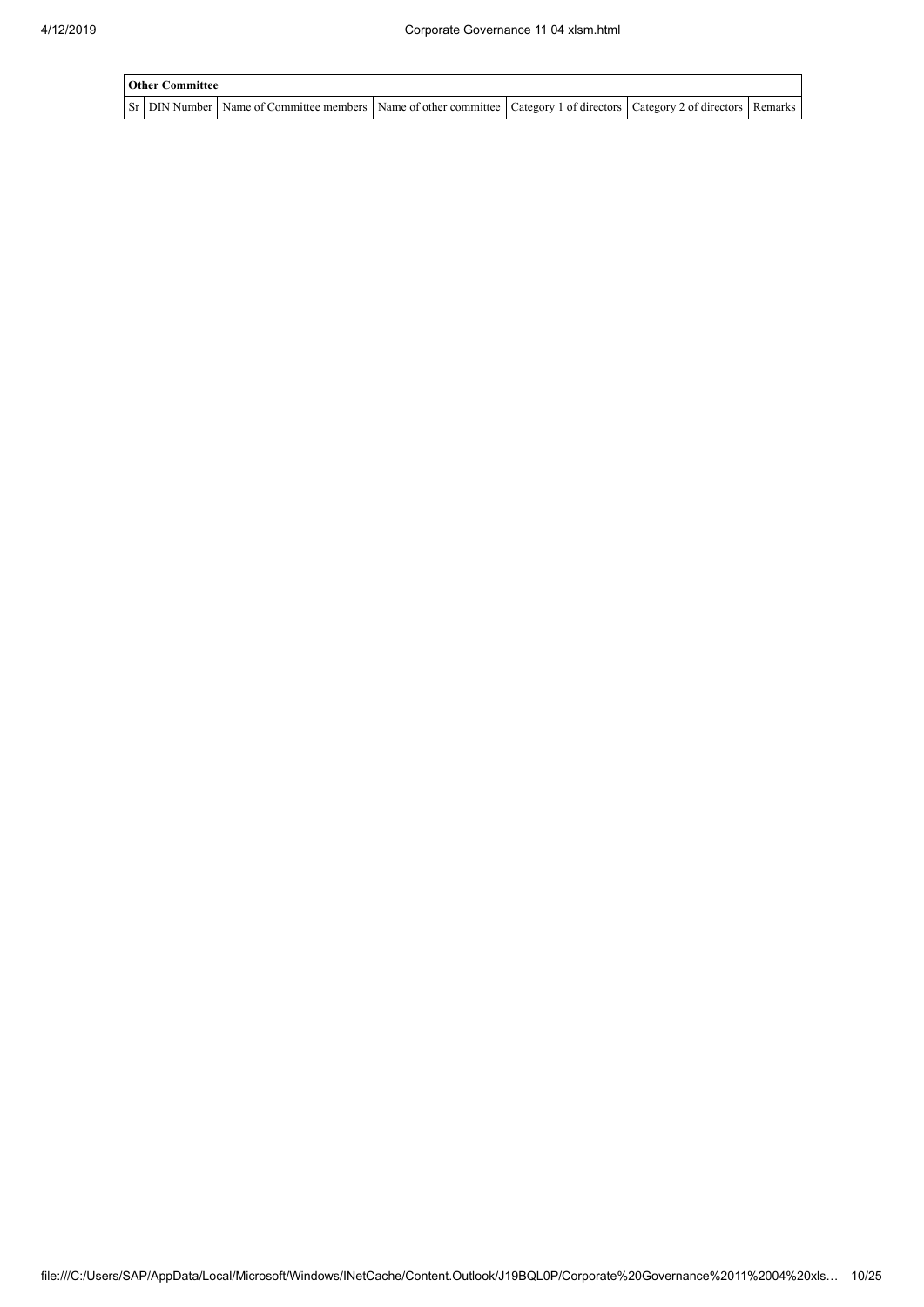| <b>Other Committee</b> |                                                                                                                                     |  |  |  |  |  |  |  |
|------------------------|-------------------------------------------------------------------------------------------------------------------------------------|--|--|--|--|--|--|--|
|                        | Sr   DIN Number   Name of Committee members   Name of other committee   Category 1 of directors   Category 2 of directors   Remarks |  |  |  |  |  |  |  |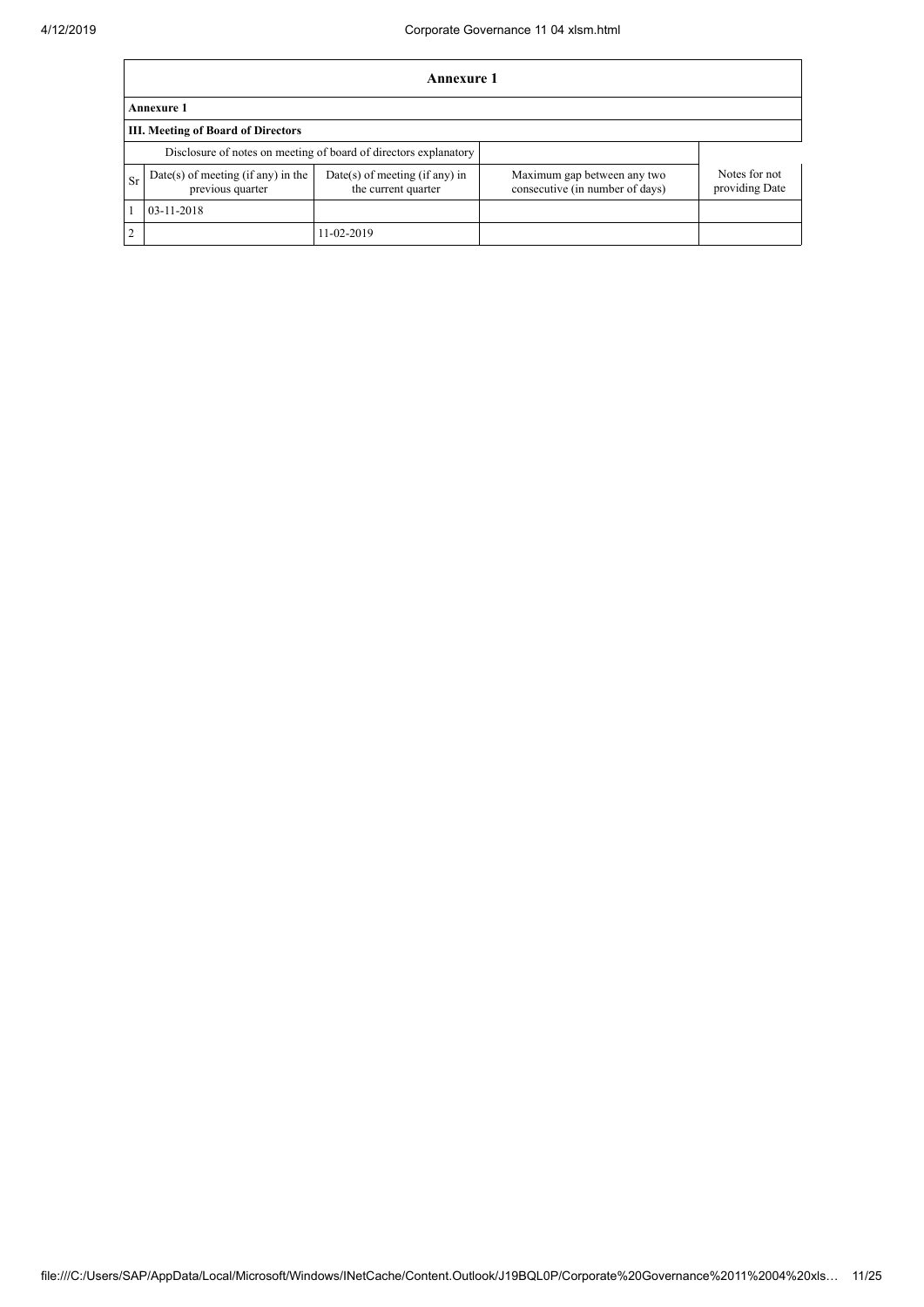$\mathbf{r}$ 

|                | Annexure 1                                                       |                                                         |                                                                |                                 |  |  |  |  |  |  |
|----------------|------------------------------------------------------------------|---------------------------------------------------------|----------------------------------------------------------------|---------------------------------|--|--|--|--|--|--|
|                | <b>Annexure 1</b>                                                |                                                         |                                                                |                                 |  |  |  |  |  |  |
|                | <b>III. Meeting of Board of Directors</b>                        |                                                         |                                                                |                                 |  |  |  |  |  |  |
|                | Disclosure of notes on meeting of board of directors explanatory |                                                         |                                                                |                                 |  |  |  |  |  |  |
| Sr             | Date(s) of meeting (if any) in the<br>previous quarter           | $Date(s)$ of meeting (if any) in<br>the current quarter | Maximum gap between any two<br>consecutive (in number of days) | Notes for not<br>providing Date |  |  |  |  |  |  |
| 03-11-2018     |                                                                  |                                                         |                                                                |                                 |  |  |  |  |  |  |
| $\overline{2}$ |                                                                  | 11-02-2019                                              |                                                                |                                 |  |  |  |  |  |  |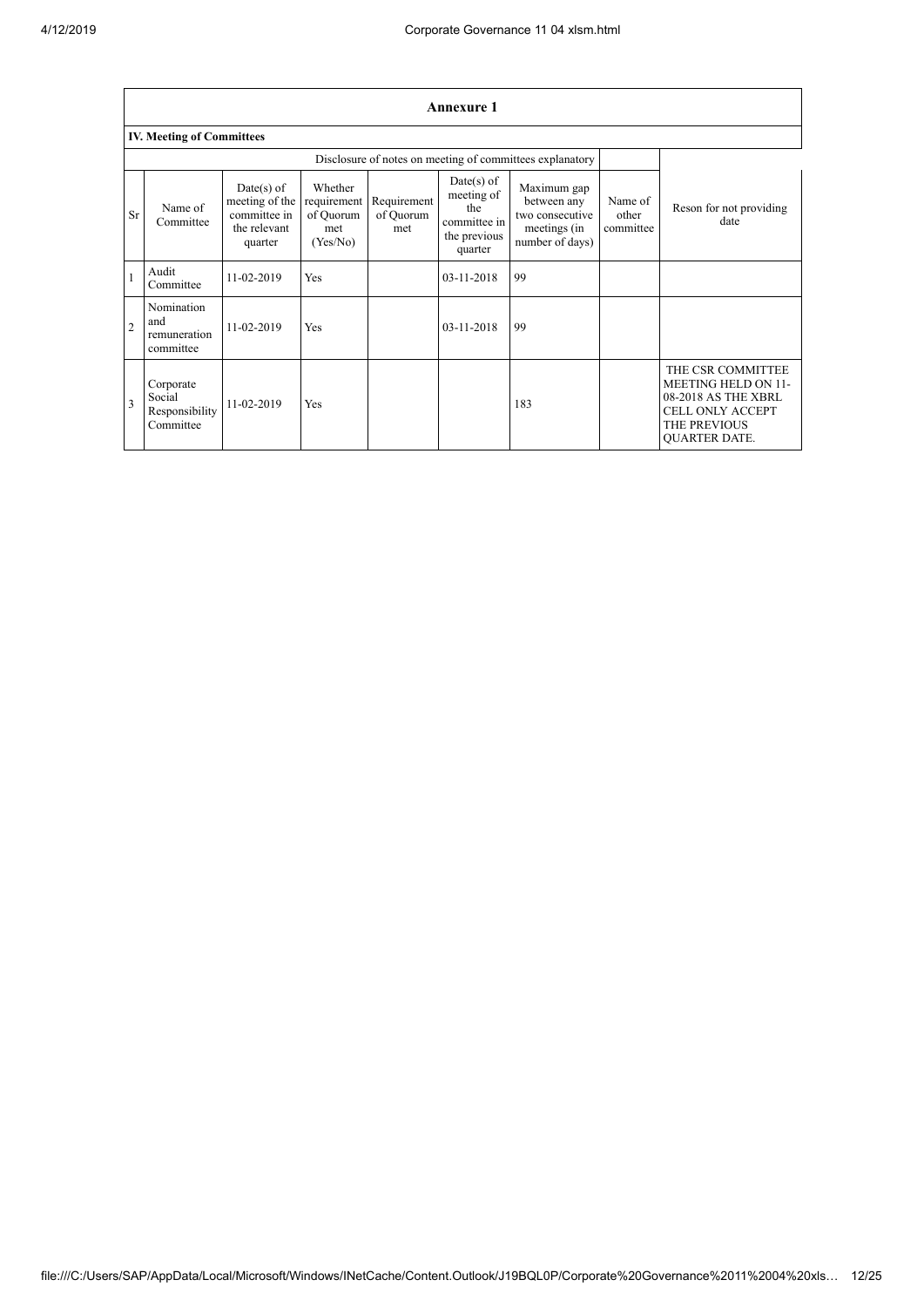|                         | <b>Annexure 1</b>                                  |                                                                           |                                                        |                                 |                                                                              |                                                                                  |                               |                                                                                                                                           |  |  |  |
|-------------------------|----------------------------------------------------|---------------------------------------------------------------------------|--------------------------------------------------------|---------------------------------|------------------------------------------------------------------------------|----------------------------------------------------------------------------------|-------------------------------|-------------------------------------------------------------------------------------------------------------------------------------------|--|--|--|
|                         | <b>IV. Meeting of Committees</b>                   |                                                                           |                                                        |                                 |                                                                              |                                                                                  |                               |                                                                                                                                           |  |  |  |
|                         |                                                    |                                                                           |                                                        |                                 |                                                                              |                                                                                  |                               |                                                                                                                                           |  |  |  |
| <b>Sr</b>               | Name of<br>Committee                               | $Date(s)$ of<br>meeting of the<br>committee in<br>the relevant<br>quarter | Whether<br>requirement<br>of Quorum<br>met<br>(Yes/No) | Requirement<br>of Quorum<br>met | $Date(s)$ of<br>meeting of<br>the<br>committee in<br>the previous<br>quarter | Maximum gap<br>between any<br>two consecutive<br>meetings (in<br>number of days) | Name of<br>other<br>committee | Reson for not providing<br>date                                                                                                           |  |  |  |
| $\mathbf{1}$            | Audit<br>Committee                                 | 11-02-2019                                                                | Yes                                                    |                                 | $03 - 11 - 2018$                                                             | 99                                                                               |                               |                                                                                                                                           |  |  |  |
| $\overline{2}$          | Nomination<br>and<br>remuneration<br>committee     | 11-02-2019                                                                | Yes                                                    |                                 | $03 - 11 - 2018$                                                             | 99                                                                               |                               |                                                                                                                                           |  |  |  |
| $\overline{\mathbf{3}}$ | Corporate<br>Social<br>Responsibility<br>Committee | $11-02-2019$                                                              | Yes                                                    |                                 |                                                                              | 183                                                                              |                               | THE CSR COMMITTEE<br><b>MEETING HELD ON 11-</b><br>08-2018 AS THE XBRL<br><b>CELL ONLY ACCEPT</b><br>THE PREVIOUS<br><b>OUARTER DATE.</b> |  |  |  |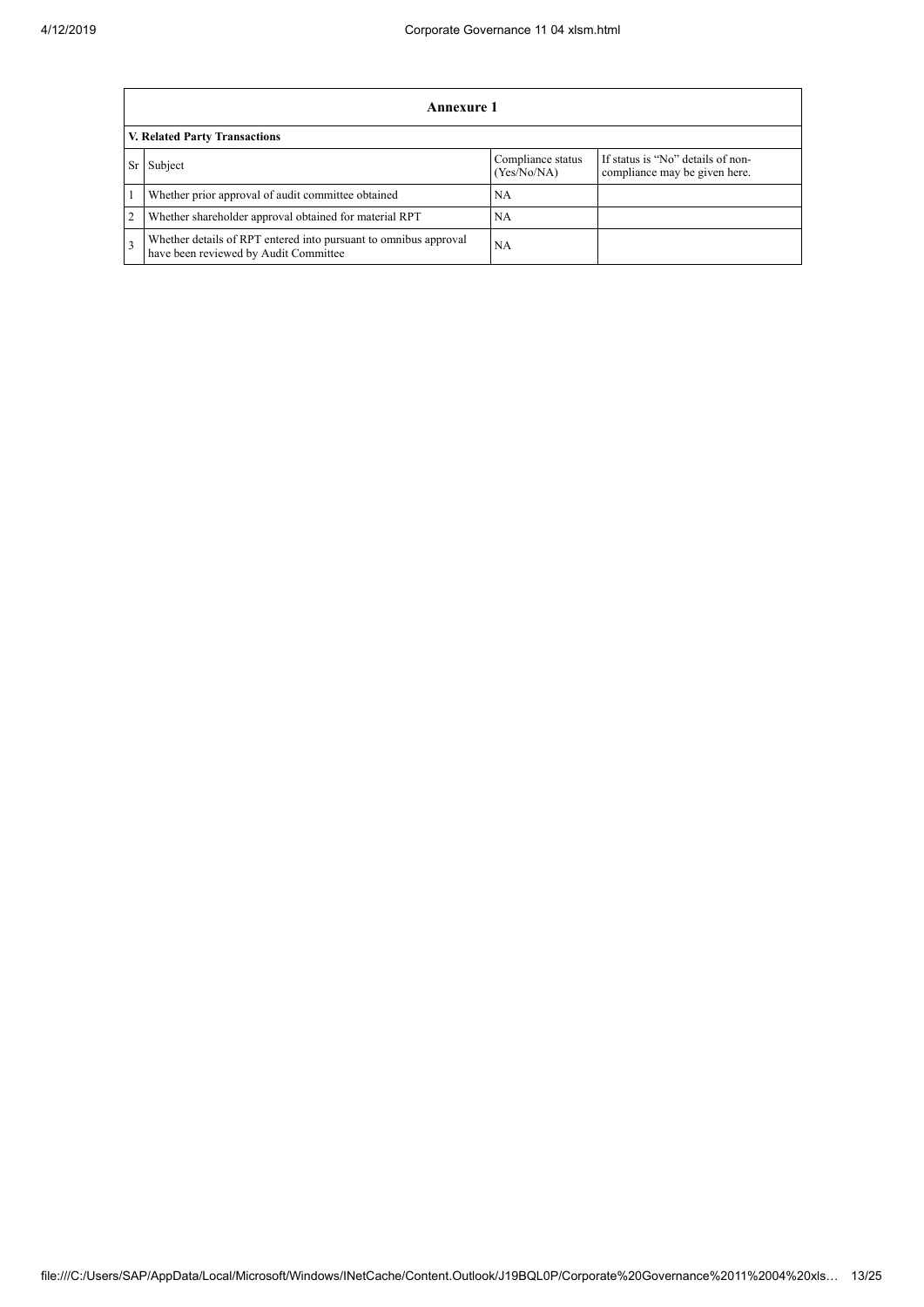|   | Annexure 1                                                                                                |                                  |                                                                    |  |  |
|---|-----------------------------------------------------------------------------------------------------------|----------------------------------|--------------------------------------------------------------------|--|--|
|   | V. Related Party Transactions                                                                             |                                  |                                                                    |  |  |
|   | Subject                                                                                                   | Compliance status<br>(Yes/No/NA) | If status is "No" details of non-<br>compliance may be given here. |  |  |
|   | Whether prior approval of audit committee obtained                                                        | <b>NA</b>                        |                                                                    |  |  |
| 2 | Whether shareholder approval obtained for material RPT                                                    | NA.                              |                                                                    |  |  |
| 3 | Whether details of RPT entered into pursuant to omnibus approval<br>have been reviewed by Audit Committee | NА                               |                                                                    |  |  |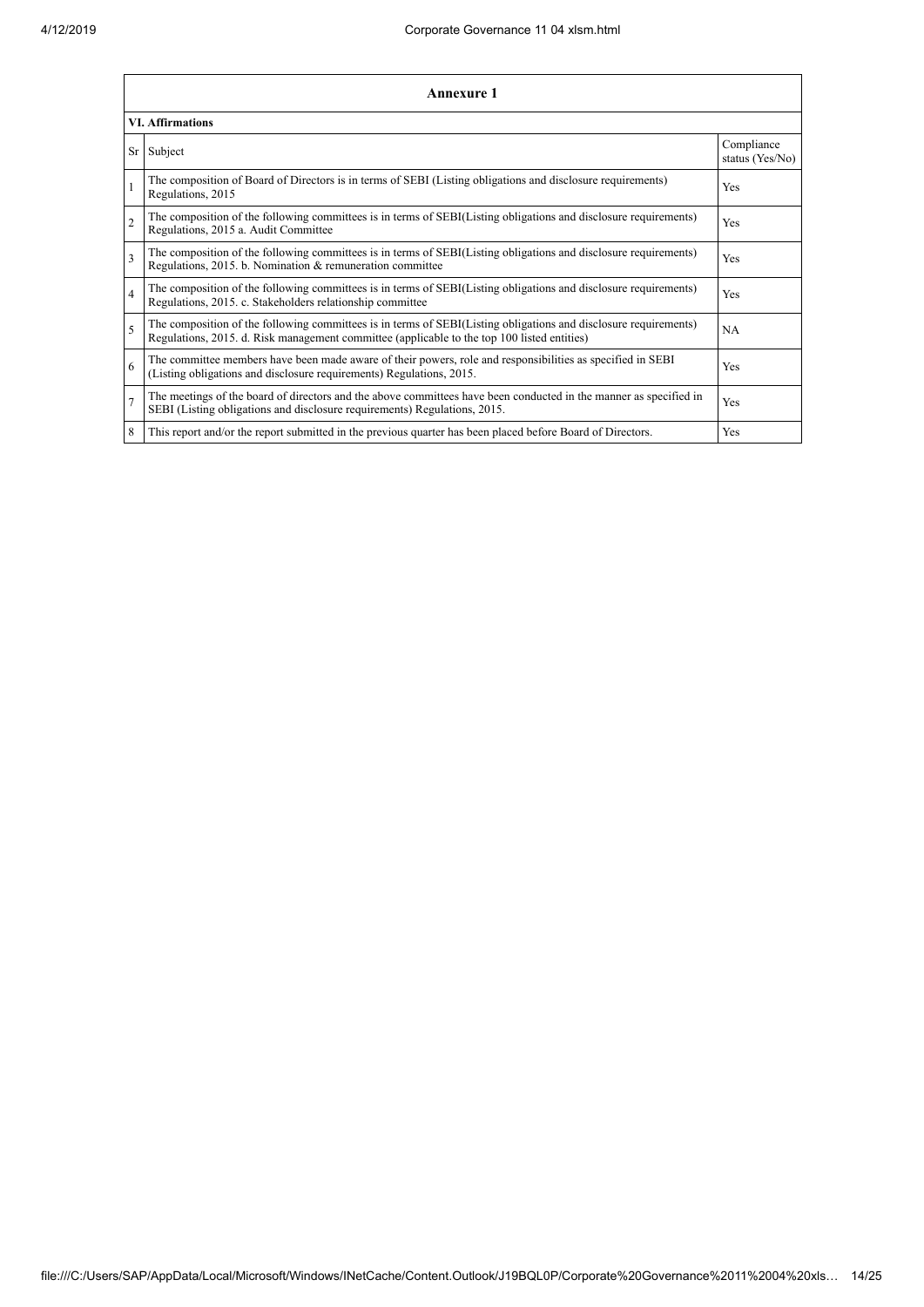|                | Annexure 1                                                                                                                                                                                                      |                               |  |  |
|----------------|-----------------------------------------------------------------------------------------------------------------------------------------------------------------------------------------------------------------|-------------------------------|--|--|
|                | <b>VI. Affirmations</b>                                                                                                                                                                                         |                               |  |  |
| Sr I           | Subject                                                                                                                                                                                                         | Compliance<br>status (Yes/No) |  |  |
| $\mathbf{1}$   | The composition of Board of Directors is in terms of SEBI (Listing obligations and disclosure requirements)<br>Regulations, 2015                                                                                | Yes                           |  |  |
| $\overline{2}$ | The composition of the following committees is in terms of SEBI(Listing obligations and disclosure requirements)<br>Regulations, 2015 a. Audit Committee                                                        | Yes                           |  |  |
| 3              | The composition of the following committees is in terms of SEBI(Listing obligations and disclosure requirements)<br>Regulations, 2015. b. Nomination & remuneration committee                                   | <b>Yes</b>                    |  |  |
| $\overline{4}$ | The composition of the following committees is in terms of SEBI(Listing obligations and disclosure requirements)<br>Regulations, 2015. c. Stakeholders relationship committee                                   | Yes                           |  |  |
| $\overline{5}$ | The composition of the following committees is in terms of SEBI(Listing obligations and disclosure requirements)<br>Regulations, 2015. d. Risk management committee (applicable to the top 100 listed entities) | <b>NA</b>                     |  |  |
| 6              | The committee members have been made aware of their powers, role and responsibilities as specified in SEBI<br>(Listing obligations and disclosure requirements) Regulations, 2015.                              | Yes                           |  |  |
| $\overline{7}$ | The meetings of the board of directors and the above committees have been conducted in the manner as specified in<br>SEBI (Listing obligations and disclosure requirements) Regulations, 2015.                  | Yes                           |  |  |
| 8              | This report and/or the report submitted in the previous quarter has been placed before Board of Directors.                                                                                                      | Yes                           |  |  |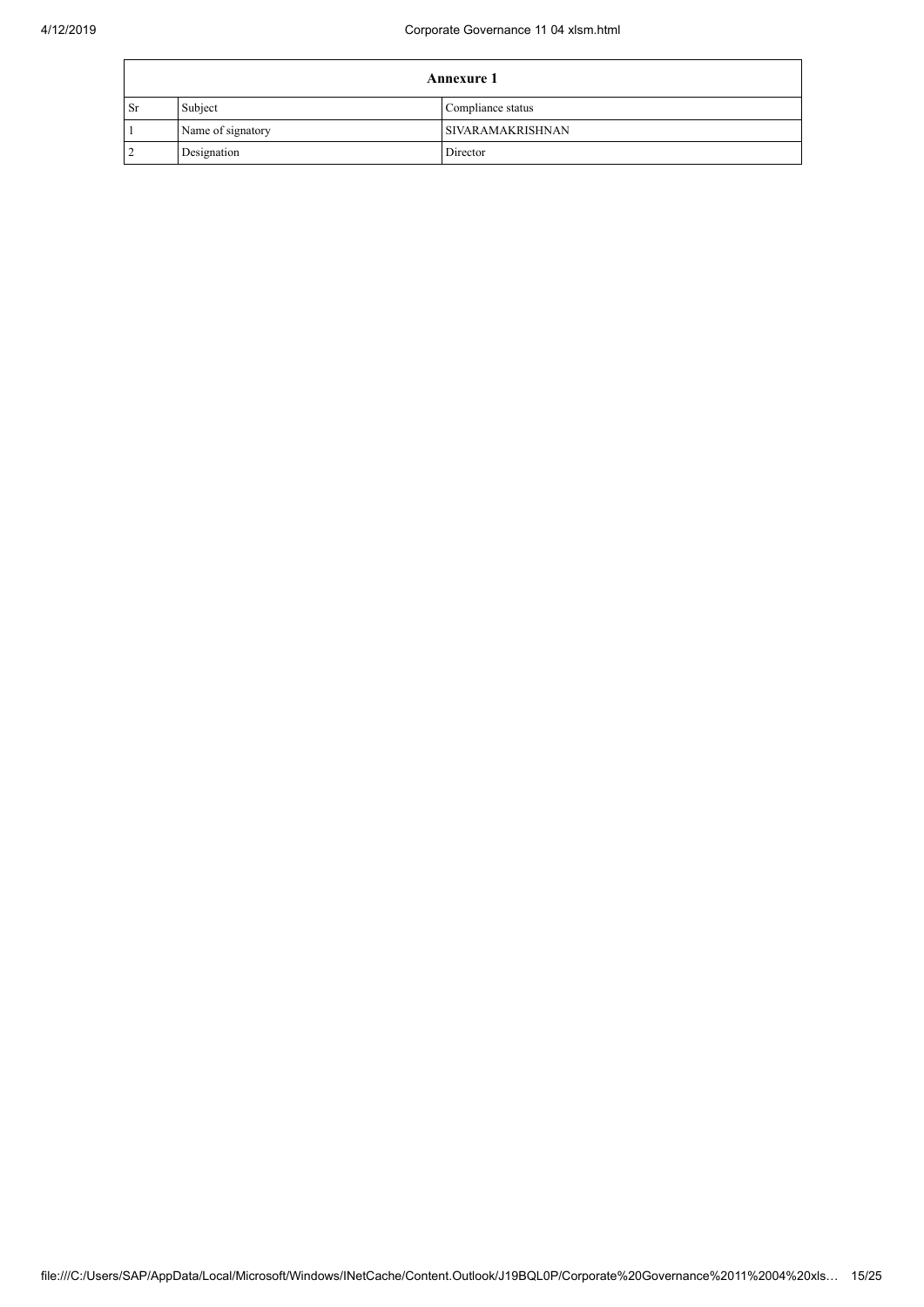|           |                   | <b>Annexure 1</b>  |
|-----------|-------------------|--------------------|
| <b>Sr</b> | Subject           | Compliance status  |
|           | Name of signatory | I SIVARAMAKRISHNAN |
| 2         | Designation       | Director           |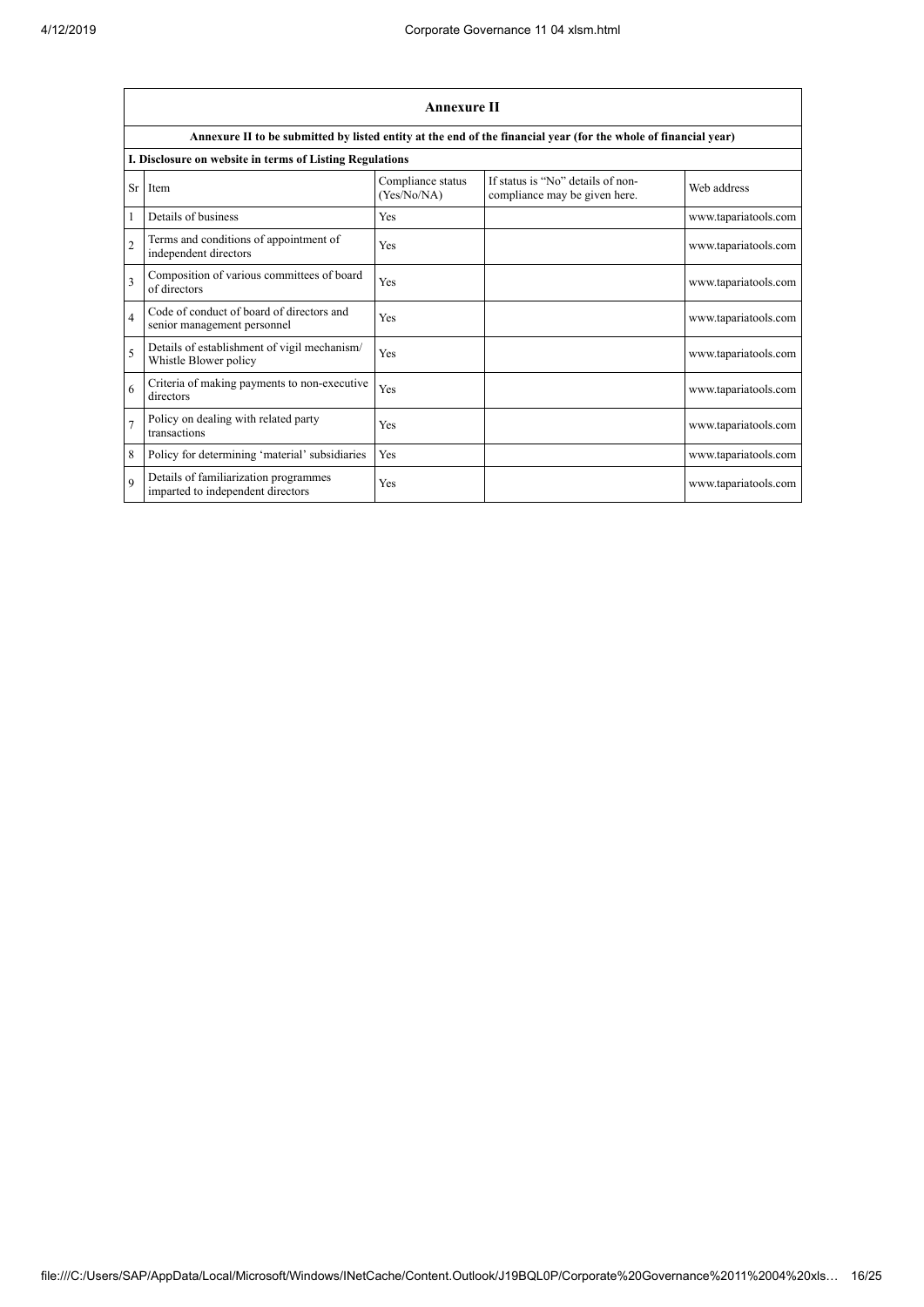|                | <b>Annexure II</b>                                                         |                                  |                                                                                                                 |                      |  |
|----------------|----------------------------------------------------------------------------|----------------------------------|-----------------------------------------------------------------------------------------------------------------|----------------------|--|
|                |                                                                            |                                  | Annexure II to be submitted by listed entity at the end of the financial year (for the whole of financial year) |                      |  |
|                | I. Disclosure on website in terms of Listing Regulations                   |                                  |                                                                                                                 |                      |  |
|                | Sr Item                                                                    | Compliance status<br>(Yes/No/NA) | If status is "No" details of non-<br>compliance may be given here.                                              | Web address          |  |
| 1              | Details of business                                                        | Yes                              |                                                                                                                 | www.tapariatools.com |  |
| $\overline{2}$ | Terms and conditions of appointment of<br>independent directors            | Yes                              |                                                                                                                 | www.tapariatools.com |  |
| $\mathbf{3}$   | Composition of various committees of board<br>of directors                 | Yes                              |                                                                                                                 | www.tapariatools.com |  |
| $\overline{4}$ | Code of conduct of board of directors and<br>senior management personnel   | Yes                              |                                                                                                                 | www.tapariatools.com |  |
| 5              | Details of establishment of vigil mechanism/<br>Whistle Blower policy      | Yes                              |                                                                                                                 | www.tapariatools.com |  |
| 6              | Criteria of making payments to non-executive<br>directors                  | Yes                              |                                                                                                                 | www.tapariatools.com |  |
|                | Policy on dealing with related party<br>transactions                       | Yes                              |                                                                                                                 | www.tapariatools.com |  |
| 8              | Policy for determining 'material' subsidiaries                             | Yes                              |                                                                                                                 | www.tapariatools.com |  |
| $\mathbf Q$    | Details of familiarization programmes<br>imparted to independent directors | Yes                              |                                                                                                                 | www.tapariatools.com |  |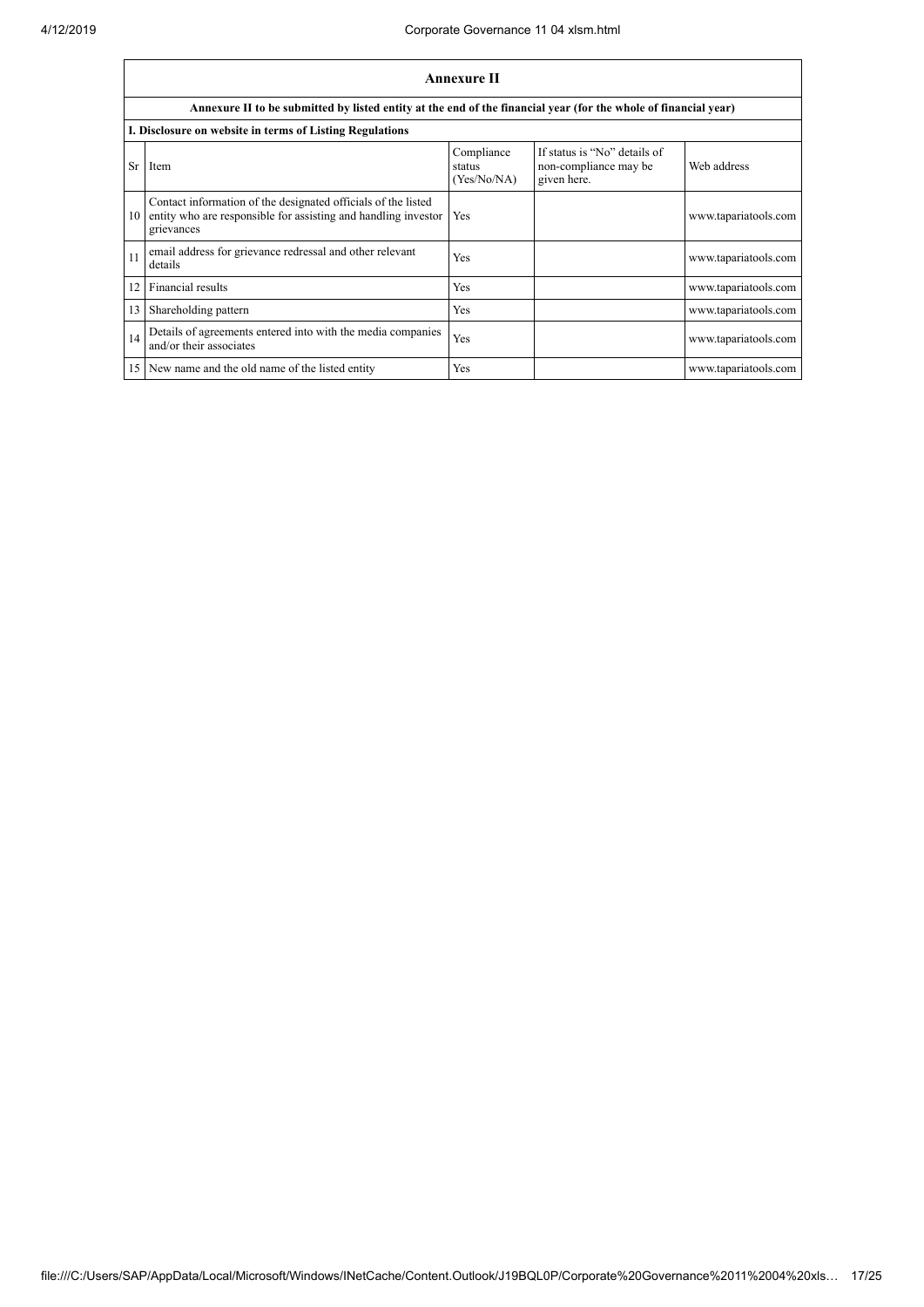|    | <b>Annexure II</b>                                                                                                                            |                                     |                                                                      |                      |  |
|----|-----------------------------------------------------------------------------------------------------------------------------------------------|-------------------------------------|----------------------------------------------------------------------|----------------------|--|
|    | Annexure II to be submitted by listed entity at the end of the financial year (for the whole of financial year)                               |                                     |                                                                      |                      |  |
|    | I. Disclosure on website in terms of Listing Regulations                                                                                      |                                     |                                                                      |                      |  |
| Sr | Item                                                                                                                                          | Compliance<br>status<br>(Yes/No/NA) | If status is "No" details of<br>non-compliance may be<br>given here. | Web address          |  |
| 10 | Contact information of the designated officials of the listed<br>entity who are responsible for assisting and handling investor<br>grievances | Yes                                 |                                                                      | www.tapariatools.com |  |
| 11 | email address for grievance redressal and other relevant<br>details                                                                           | Yes                                 |                                                                      | www.tapariatools.com |  |
| 12 | Financial results                                                                                                                             | <b>Yes</b>                          |                                                                      | www.tapariatools.com |  |
| 13 | Shareholding pattern                                                                                                                          | Yes                                 |                                                                      | www.tapariatools.com |  |
| 14 | Details of agreements entered into with the media companies<br>and/or their associates                                                        | Yes                                 |                                                                      | www.tapariatools.com |  |
|    | 15 New name and the old name of the listed entity                                                                                             | <b>Yes</b>                          |                                                                      | www.tapariatools.com |  |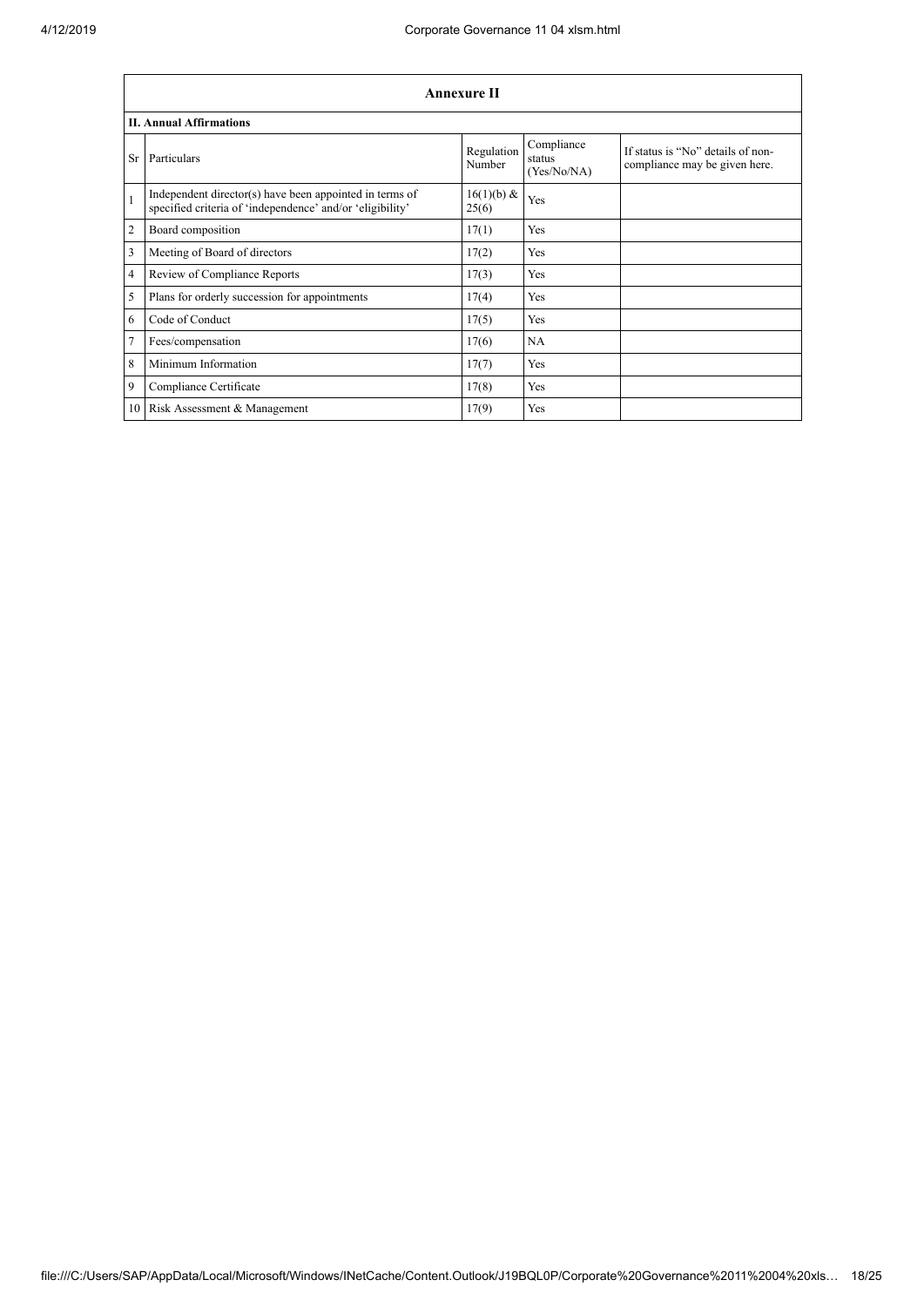|                | Annexure II                                                                                                          |                      |                                     |                                                                    |  |
|----------------|----------------------------------------------------------------------------------------------------------------------|----------------------|-------------------------------------|--------------------------------------------------------------------|--|
|                | <b>II. Annual Affirmations</b>                                                                                       |                      |                                     |                                                                    |  |
| Sr             | Particulars                                                                                                          | Regulation<br>Number | Compliance<br>status<br>(Yes/No/NA) | If status is "No" details of non-<br>compliance may be given here. |  |
| $\mathbf{1}$   | Independent director(s) have been appointed in terms of<br>specified criteria of 'independence' and/or 'eligibility' | 16(1)(b) &<br>25(6)  | Yes                                 |                                                                    |  |
| $\overline{2}$ | Board composition                                                                                                    | 17(1)                | Yes                                 |                                                                    |  |
| 3              | Meeting of Board of directors                                                                                        | 17(2)                | Yes                                 |                                                                    |  |
| $\overline{4}$ | Review of Compliance Reports                                                                                         | 17(3)                | Yes                                 |                                                                    |  |
| 5              | Plans for orderly succession for appointments                                                                        | 17(4)                | Yes                                 |                                                                    |  |
| 6              | Code of Conduct                                                                                                      | 17(5)                | Yes                                 |                                                                    |  |
| $\overline{7}$ | Fees/compensation                                                                                                    | 17(6)                | <b>NA</b>                           |                                                                    |  |
| 8              | Minimum Information                                                                                                  | 17(7)                | Yes                                 |                                                                    |  |
| $\overline{9}$ | Compliance Certificate                                                                                               | 17(8)                | Yes                                 |                                                                    |  |
|                | 10 Risk Assessment & Management                                                                                      | 17(9)                | Yes                                 |                                                                    |  |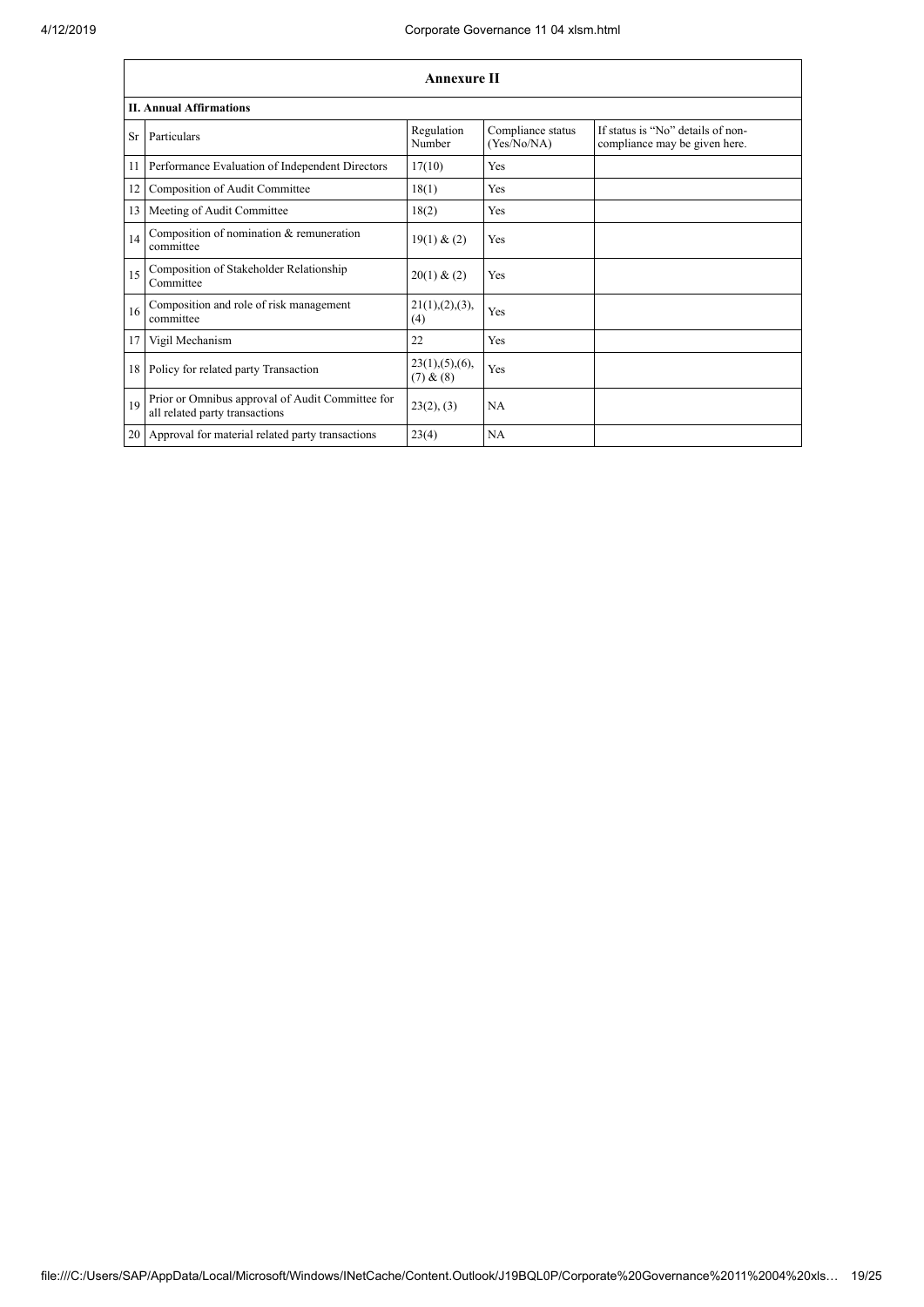|           | <b>Annexure II</b>                                                                 |                               |                                  |                                                                    |  |
|-----------|------------------------------------------------------------------------------------|-------------------------------|----------------------------------|--------------------------------------------------------------------|--|
|           | <b>II. Annual Affirmations</b>                                                     |                               |                                  |                                                                    |  |
| <b>Sr</b> | Particulars                                                                        | Regulation<br>Number          | Compliance status<br>(Yes/No/NA) | If status is "No" details of non-<br>compliance may be given here. |  |
| 11        | Performance Evaluation of Independent Directors                                    | 17(10)                        | Yes                              |                                                                    |  |
| 12        | Composition of Audit Committee                                                     | 18(1)                         | Yes                              |                                                                    |  |
| 13        | Meeting of Audit Committee                                                         | 18(2)                         | Yes                              |                                                                    |  |
| 14        | Composition of nomination & remuneration<br>committee                              | 19(1) & (2)                   | Yes                              |                                                                    |  |
| 15        | Composition of Stakeholder Relationship<br>Committee                               | 20(1) & (2)                   | Yes                              |                                                                    |  |
| 16        | Composition and role of risk management<br>committee                               | 21(1), (2), (3),<br>(4)       | Yes                              |                                                                    |  |
| 17        | Vigil Mechanism                                                                    | 22                            | Yes                              |                                                                    |  |
| 18        | Policy for related party Transaction                                               | 23(1), (5), (6),<br>(7) & (8) | Yes                              |                                                                    |  |
| 19        | Prior or Omnibus approval of Audit Committee for<br>all related party transactions | 23(2), (3)                    | <b>NA</b>                        |                                                                    |  |
|           | 20 Approval for material related party transactions                                | 23(4)                         | <b>NA</b>                        |                                                                    |  |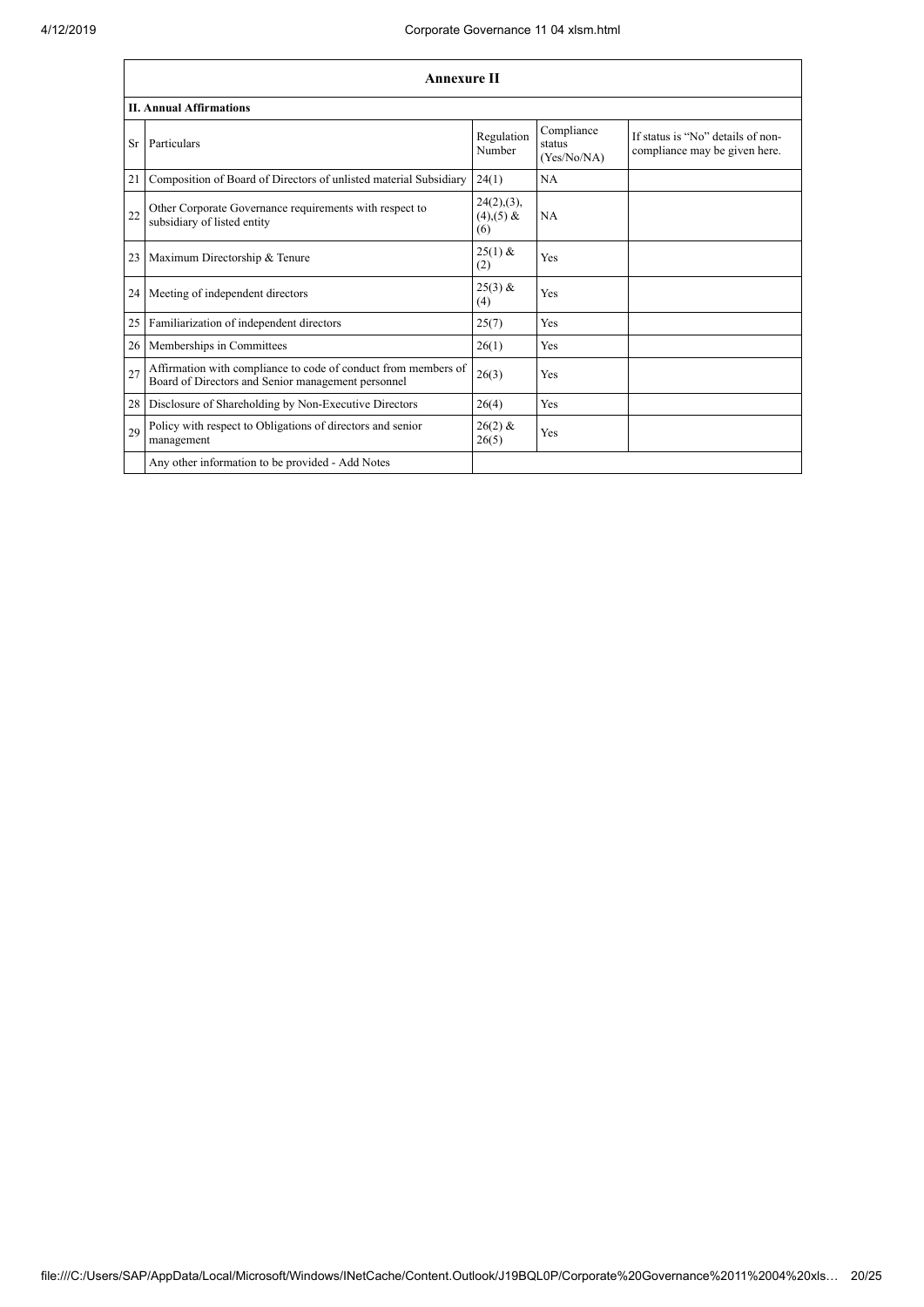|    | <b>Annexure II</b>                                                                                                   |                                       |                                     |                                                                    |
|----|----------------------------------------------------------------------------------------------------------------------|---------------------------------------|-------------------------------------|--------------------------------------------------------------------|
|    | <b>II. Annual Affirmations</b>                                                                                       |                                       |                                     |                                                                    |
| Sr | Particulars                                                                                                          | Regulation<br>Number                  | Compliance<br>status<br>(Yes/No/NA) | If status is "No" details of non-<br>compliance may be given here. |
| 21 | Composition of Board of Directors of unlisted material Subsidiary                                                    | 24(1)                                 | NA                                  |                                                                    |
| 22 | Other Corporate Governance requirements with respect to<br>subsidiary of listed entity                               | 24(2), (3),<br>$(4)$ , $(5)$ &<br>(6) | <b>NA</b>                           |                                                                    |
| 23 | Maximum Directorship & Tenure                                                                                        | $25(1)$ &<br>(2)                      | Yes                                 |                                                                    |
| 24 | Meeting of independent directors                                                                                     | $25(3)$ &<br>(4)                      | Yes                                 |                                                                    |
| 25 | Familiarization of independent directors                                                                             | 25(7)                                 | Yes                                 |                                                                    |
| 26 | Memberships in Committees                                                                                            | 26(1)                                 | Yes                                 |                                                                    |
| 27 | Affirmation with compliance to code of conduct from members of<br>Board of Directors and Senior management personnel | 26(3)                                 | Yes                                 |                                                                    |
| 28 | Disclosure of Shareholding by Non-Executive Directors                                                                | 26(4)                                 | Yes                                 |                                                                    |
| 29 | Policy with respect to Obligations of directors and senior<br>management                                             | $26(2)$ &<br>26(5)                    | Yes                                 |                                                                    |
|    | Any other information to be provided - Add Notes                                                                     |                                       |                                     |                                                                    |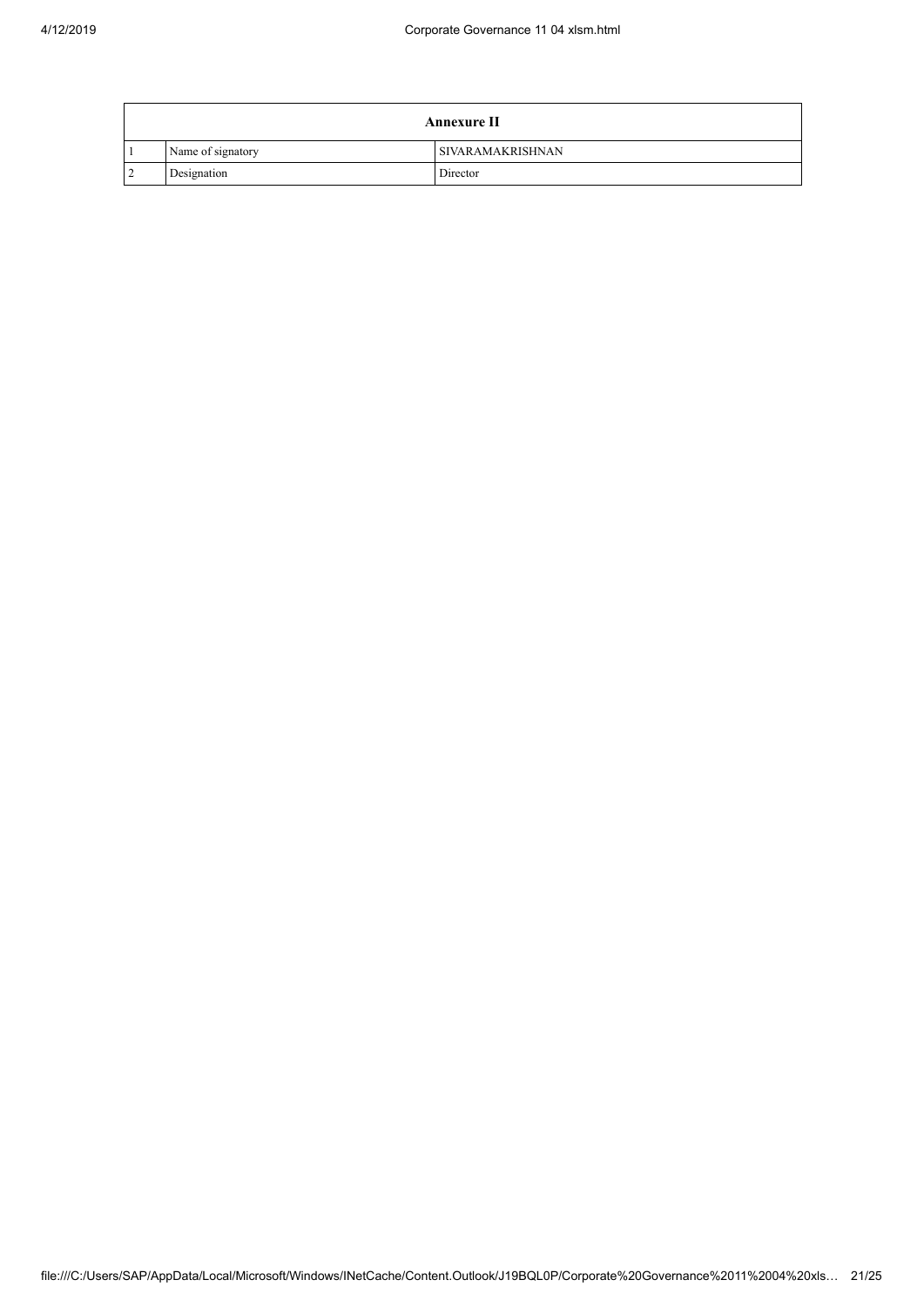|        | <b>Annexure II</b> |                         |  |
|--------|--------------------|-------------------------|--|
|        | Name of signatory  | <b>SIVARAMAKRISHNAN</b> |  |
| $\sim$ | Designation        | Director                |  |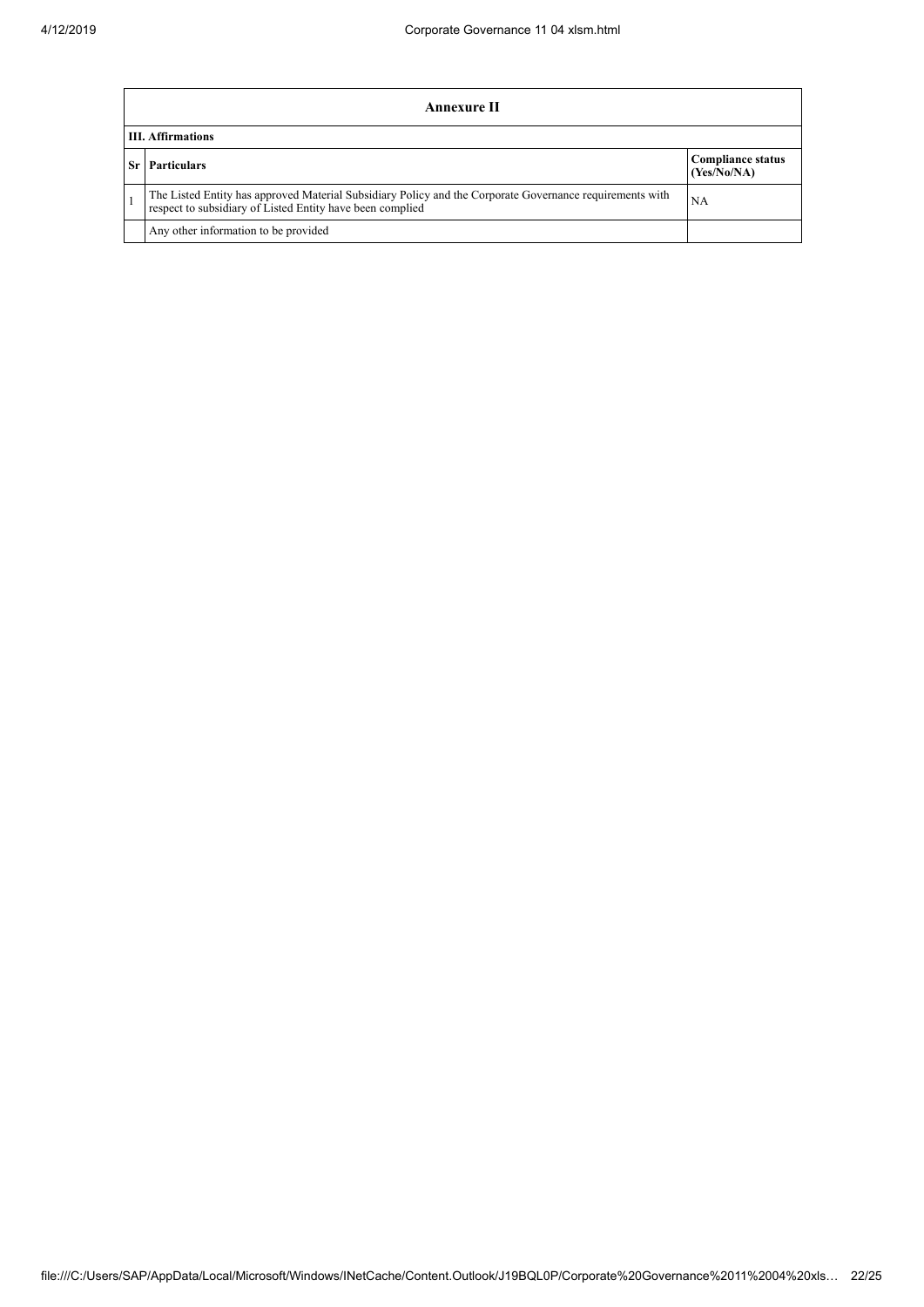| Annexure II                                                                                                                                                           |                                         |  |  |
|-----------------------------------------------------------------------------------------------------------------------------------------------------------------------|-----------------------------------------|--|--|
| <b>III.</b> Affirmations                                                                                                                                              |                                         |  |  |
| <b>Particulars</b><br>-Sr I                                                                                                                                           | <b>Compliance status</b><br>(Yes/No/NA) |  |  |
| The Listed Entity has approved Material Subsidiary Policy and the Corporate Governance requirements with<br>respect to subsidiary of Listed Entity have been complied | NA                                      |  |  |
| Any other information to be provided                                                                                                                                  |                                         |  |  |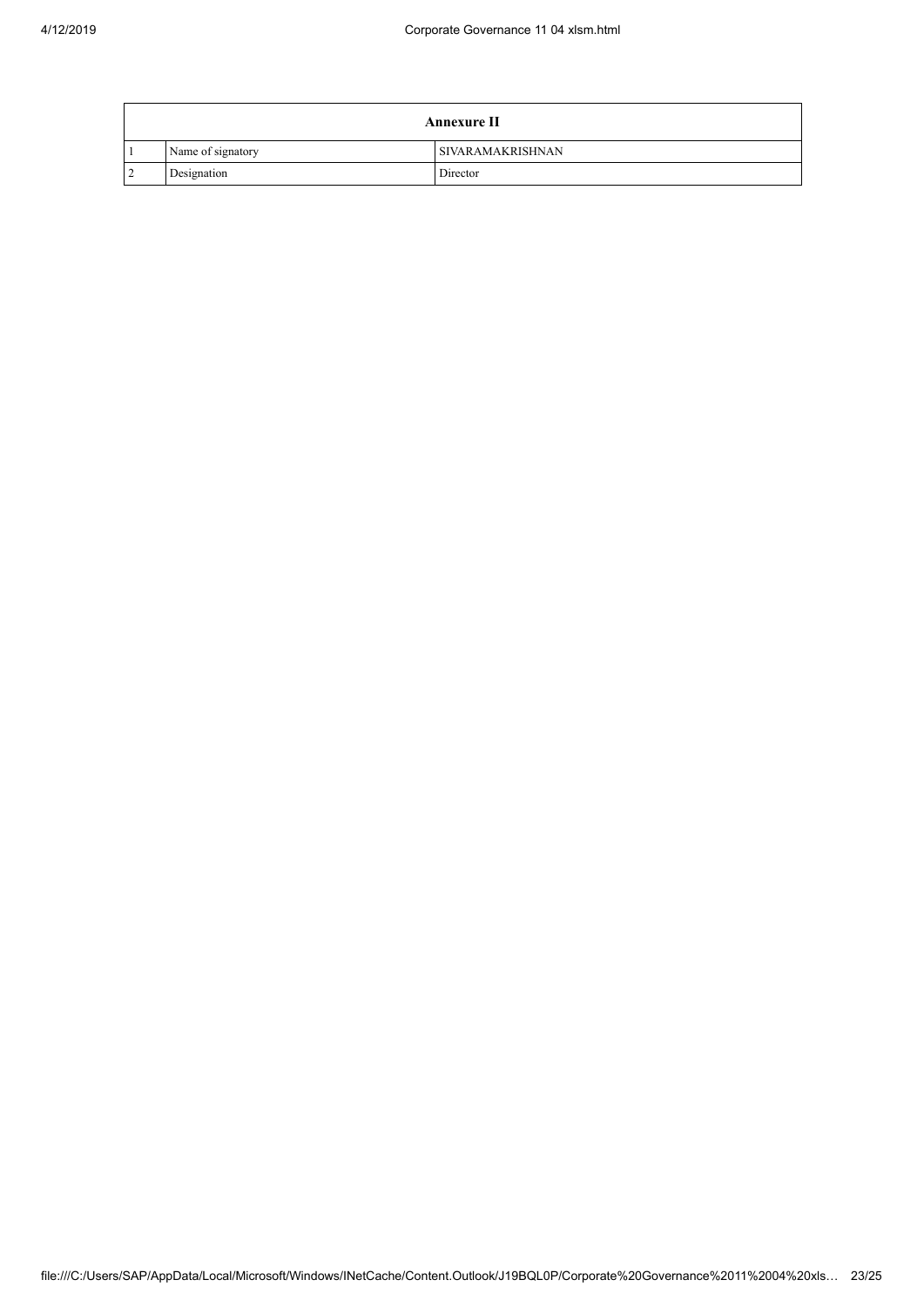|        | <b>Annexure II</b> |                         |  |
|--------|--------------------|-------------------------|--|
|        | Name of signatory  | <b>SIVARAMAKRISHNAN</b> |  |
| $\sim$ | Designation        | Director                |  |